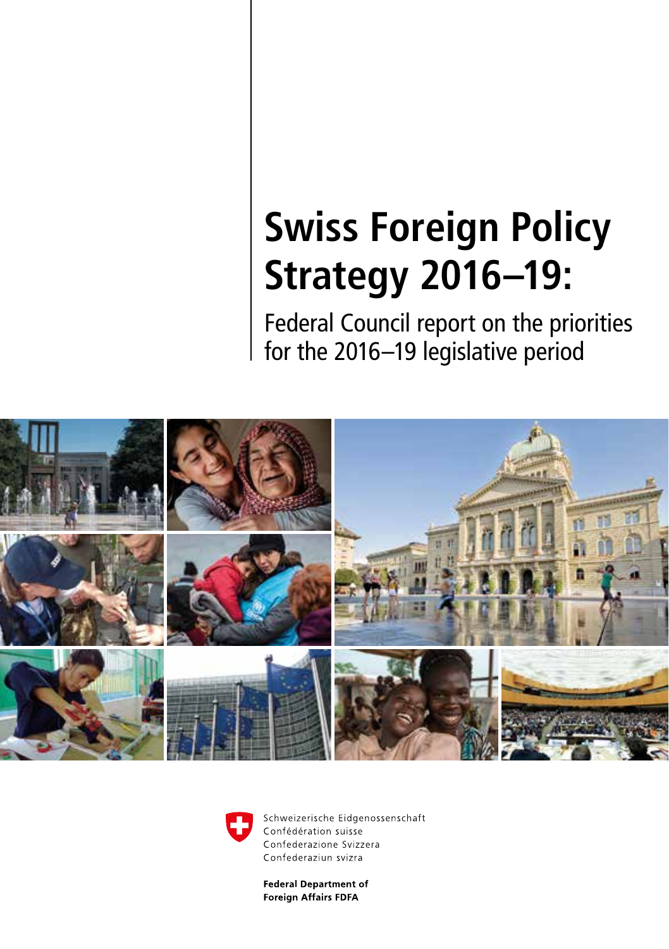## **Swiss Foreign Policy Strategy 2016–19:**

Federal Council report on the priorities for the 2016–19 legislative period





Schweizerische Eidgenossenschaft Confédération suisse Confederazione Svizzera Confederaziun svizra

**Federal Department of Foreign Affairs FDFA**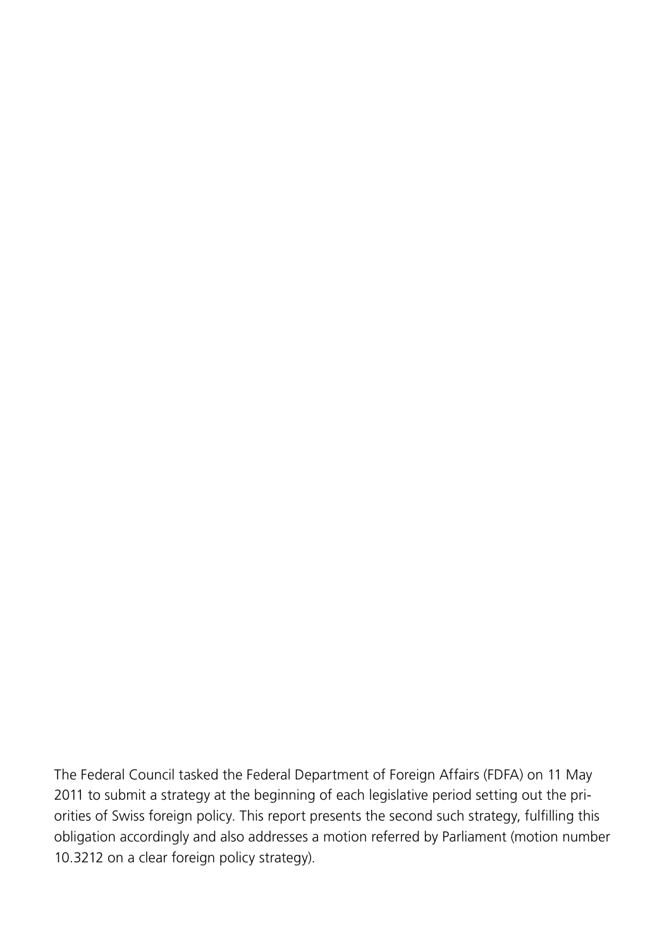The Federal Council tasked the Federal Department of Foreign Affairs (FDFA) on 11 May 2011 to submit a strategy at the beginning of each legislative period setting out the priorities of Swiss foreign policy. This report presents the second such strategy, fulfilling this obligation accordingly and also addresses a motion referred by Parliament (motion number 10.3212 on a clear foreign policy strategy).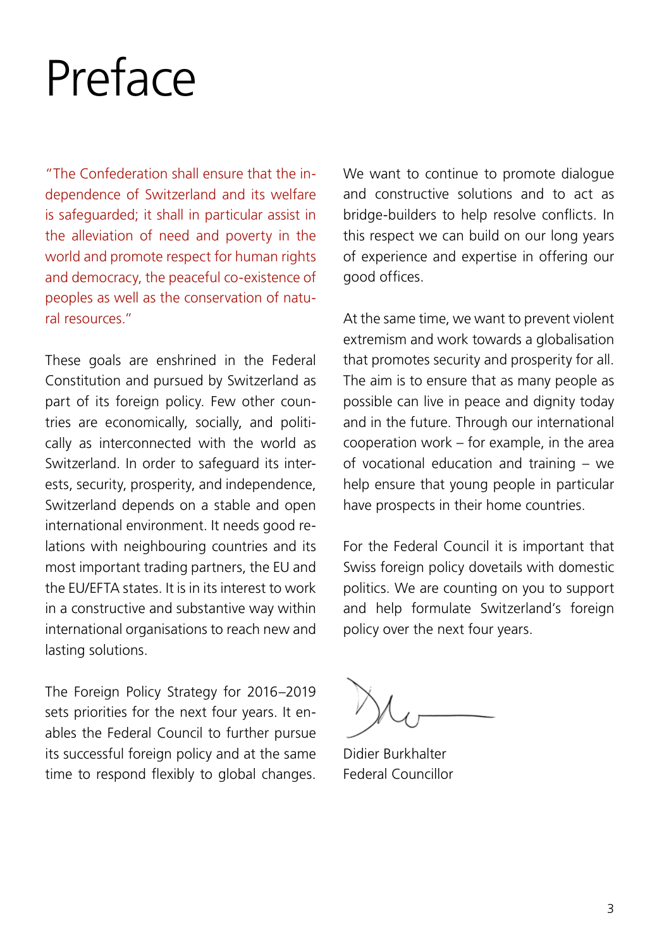# <span id="page-2-0"></span>Preface

"The Confederation shall ensure that the independence of Switzerland and its welfare is safeguarded; it shall in particular assist in the alleviation of need and poverty in the world and promote respect for human rights and democracy, the peaceful co-existence of peoples as well as the conservation of natural resources."

These goals are enshrined in the Federal Constitution and pursued by Switzerland as part of its foreign policy. Few other countries are economically, socially, and politically as interconnected with the world as Switzerland. In order to safeguard its interests, security, prosperity, and independence, Switzerland depends on a stable and open international environment. It needs good relations with neighbouring countries and its most important trading partners, the EU and the EU/EFTA states. It is in its interest to work in a constructive and substantive way within international organisations to reach new and lasting solutions.

The Foreign Policy Strategy for 2016–2019 sets priorities for the next four years. It enables the Federal Council to further pursue its successful foreign policy and at the same time to respond flexibly to global changes. We want to continue to promote dialogue and constructive solutions and to act as bridge-builders to help resolve conflicts. In this respect we can build on our long years of experience and expertise in offering our good offices.

At the same time, we want to prevent violent extremism and work towards a globalisation that promotes security and prosperity for all. The aim is to ensure that as many people as possible can live in peace and dignity today and in the future. Through our international cooperation work – for example, in the area of vocational education and training – we help ensure that young people in particular have prospects in their home countries.

For the Federal Council it is important that Swiss foreign policy dovetails with domestic politics. We are counting on you to support and help formulate Switzerland's foreign policy over the next four years.

Didier Burkhalter Federal Councillor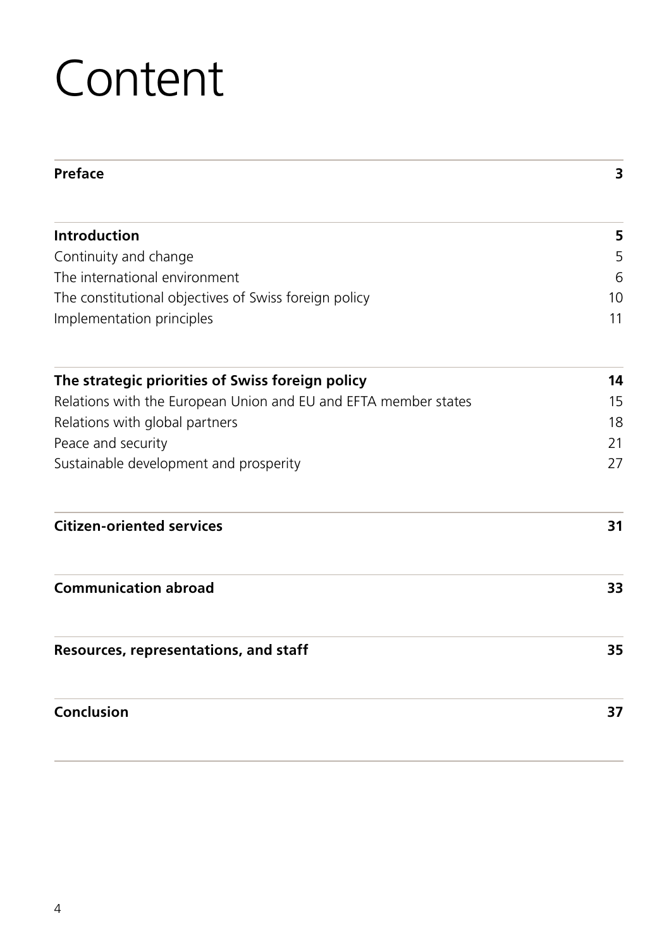# **Content**

| Preface                                                         | 3        |
|-----------------------------------------------------------------|----------|
| <b>Introduction</b>                                             | 5        |
| Continuity and change                                           | 5        |
| The international environment                                   | 6        |
| The constitutional objectives of Swiss foreign policy           | 10<br>11 |
| Implementation principles                                       |          |
| The strategic priorities of Swiss foreign policy                | 14       |
| Relations with the European Union and EU and EFTA member states | 15       |
| Relations with global partners                                  | 18       |
| Peace and security                                              | 21       |
| Sustainable development and prosperity                          | 27       |
| <b>Citizen-oriented services</b>                                | 31       |
| <b>Communication abroad</b>                                     | 33       |
| Resources, representations, and staff                           | 35       |
| Conclusion                                                      | 37       |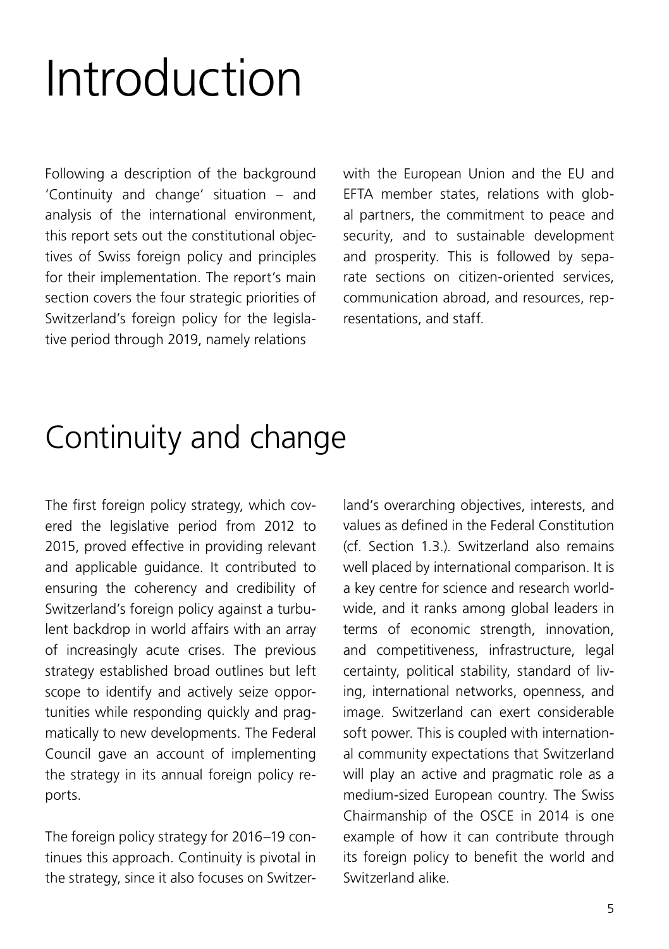# <span id="page-4-0"></span>Introduction

Following a description of the background 'Continuity and change' situation – and analysis of the international environment, this report sets out the constitutional objectives of Swiss foreign policy and principles for their implementation. The report's main section covers the four strategic priorities of Switzerland's foreign policy for the legislative period through 2019, namely relations

with the European Union and the EU and EFTA member states, relations with global partners, the commitment to peace and security, and to sustainable development and prosperity. This is followed by separate sections on citizen-oriented services, communication abroad, and resources, representations, and staff.

## Continuity and change

The first foreign policy strategy, which covered the legislative period from 2012 to 2015, proved effective in providing relevant and applicable guidance. It contributed to ensuring the coherency and credibility of Switzerland's foreign policy against a turbulent backdrop in world affairs with an array of increasingly acute crises. The previous strategy established broad outlines but left scope to identify and actively seize opportunities while responding quickly and pragmatically to new developments. The Federal Council gave an account of implementing the strategy in its annual foreign policy reports.

The foreign policy strategy for 2016–19 continues this approach. Continuity is pivotal in the strategy, since it also focuses on Switzerland's overarching objectives, interests, and values as defined in the Federal Constitution (cf. Section 1.3.). Switzerland also remains well placed by international comparison. It is a key centre for science and research worldwide, and it ranks among global leaders in terms of economic strength, innovation, and competitiveness, infrastructure, legal certainty, political stability, standard of living, international networks, openness, and image. Switzerland can exert considerable soft power. This is coupled with international community expectations that Switzerland will play an active and pragmatic role as a medium-sized European country. The Swiss Chairmanship of the OSCE in 2014 is one example of how it can contribute through its foreign policy to benefit the world and Switzerland alike.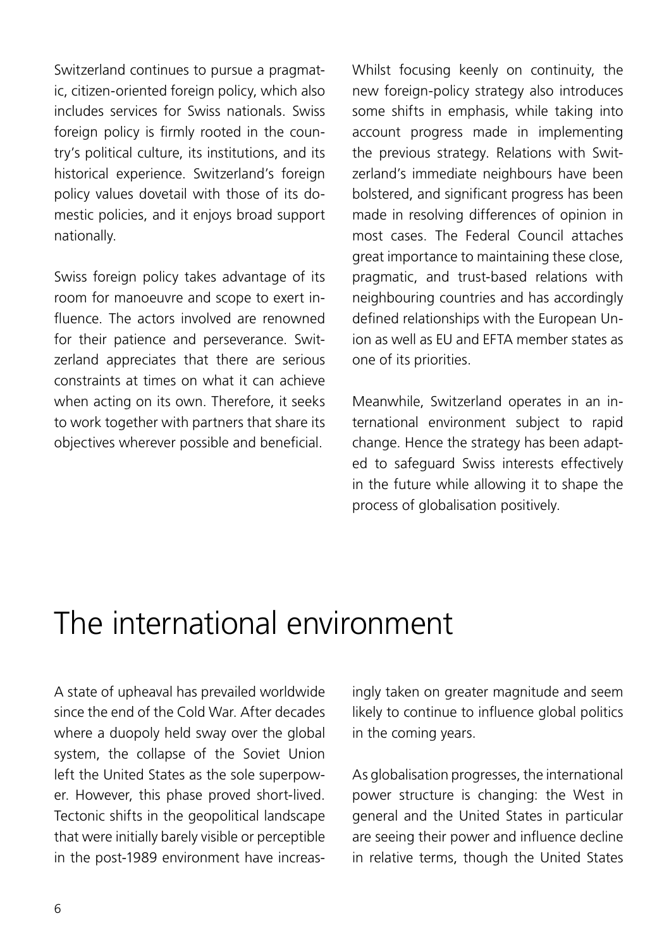<span id="page-5-0"></span>Switzerland continues to pursue a pragmatic, citizen-oriented foreign policy, which also includes services for Swiss nationals. Swiss foreign policy is firmly rooted in the country's political culture, its institutions, and its historical experience. Switzerland's foreign policy values dovetail with those of its domestic policies, and it enjoys broad support nationally.

Swiss foreign policy takes advantage of its room for manoeuvre and scope to exert influence. The actors involved are renowned for their patience and perseverance. Switzerland appreciates that there are serious constraints at times on what it can achieve when acting on its own. Therefore, it seeks to work together with partners that share its objectives wherever possible and beneficial.

Whilst focusing keenly on continuity, the new foreign-policy strategy also introduces some shifts in emphasis, while taking into account progress made in implementing the previous strategy. Relations with Switzerland's immediate neighbours have been bolstered, and significant progress has been made in resolving differences of opinion in most cases. The Federal Council attaches great importance to maintaining these close, pragmatic, and trust-based relations with neighbouring countries and has accordingly defined relationships with the European Union as well as EU and EFTA member states as one of its priorities.

Meanwhile, Switzerland operates in an international environment subject to rapid change. Hence the strategy has been adapted to safeguard Swiss interests effectively in the future while allowing it to shape the process of globalisation positively.

## The international environment

A state of upheaval has prevailed worldwide since the end of the Cold War. After decades where a duopoly held sway over the global system, the collapse of the Soviet Union left the United States as the sole superpower. However, this phase proved short-lived. Tectonic shifts in the geopolitical landscape that were initially barely visible or perceptible in the post-1989 environment have increasingly taken on greater magnitude and seem likely to continue to influence global politics in the coming years.

As globalisation progresses, the international power structure is changing: the West in general and the United States in particular are seeing their power and influence decline in relative terms, though the United States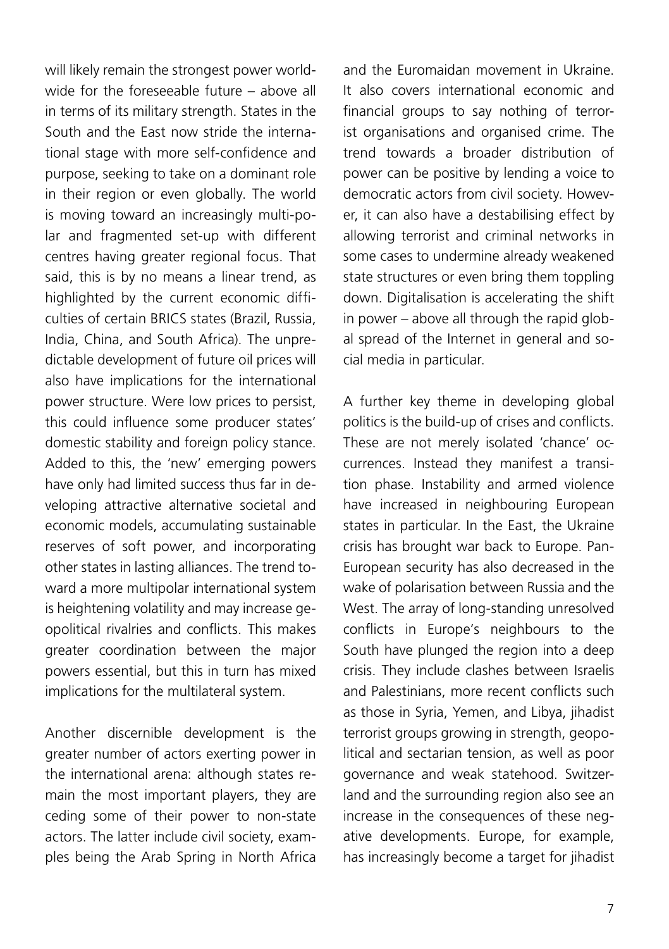will likely remain the strongest power worldwide for the foreseeable future – above all in terms of its military strength. States in the South and the East now stride the international stage with more self-confidence and purpose, seeking to take on a dominant role in their region or even globally. The world is moving toward an increasingly multi-polar and fragmented set-up with different centres having greater regional focus. That said, this is by no means a linear trend, as highlighted by the current economic difficulties of certain BRICS states (Brazil, Russia, India, China, and South Africa). The unpredictable development of future oil prices will also have implications for the international power structure. Were low prices to persist, this could influence some producer states' domestic stability and foreign policy stance. Added to this, the 'new' emerging powers have only had limited success thus far in developing attractive alternative societal and economic models, accumulating sustainable reserves of soft power, and incorporating other states in lasting alliances. The trend toward a more multipolar international system is heightening volatility and may increase geopolitical rivalries and conflicts. This makes greater coordination between the major powers essential, but this in turn has mixed implications for the multilateral system.

Another discernible development is the greater number of actors exerting power in the international arena: although states remain the most important players, they are ceding some of their power to non-state actors. The latter include civil society, examples being the Arab Spring in North Africa

and the Euromaidan movement in Ukraine. It also covers international economic and financial groups to say nothing of terrorist organisations and organised crime. The trend towards a broader distribution of power can be positive by lending a voice to democratic actors from civil society. However, it can also have a destabilising effect by allowing terrorist and criminal networks in some cases to undermine already weakened state structures or even bring them toppling down. Digitalisation is accelerating the shift in power – above all through the rapid global spread of the Internet in general and social media in particular.

A further key theme in developing global politics is the build-up of crises and conflicts. These are not merely isolated 'chance' occurrences. Instead they manifest a transition phase. Instability and armed violence have increased in neighbouring European states in particular. In the East, the Ukraine crisis has brought war back to Europe. Pan-European security has also decreased in the wake of polarisation between Russia and the West. The array of long-standing unresolved conflicts in Europe's neighbours to the South have plunged the region into a deep crisis. They include clashes between Israelis and Palestinians, more recent conflicts such as those in Syria, Yemen, and Libya, jihadist terrorist groups growing in strength, geopolitical and sectarian tension, as well as poor governance and weak statehood. Switzerland and the surrounding region also see an increase in the consequences of these negative developments. Europe, for example, has increasingly become a target for jihadist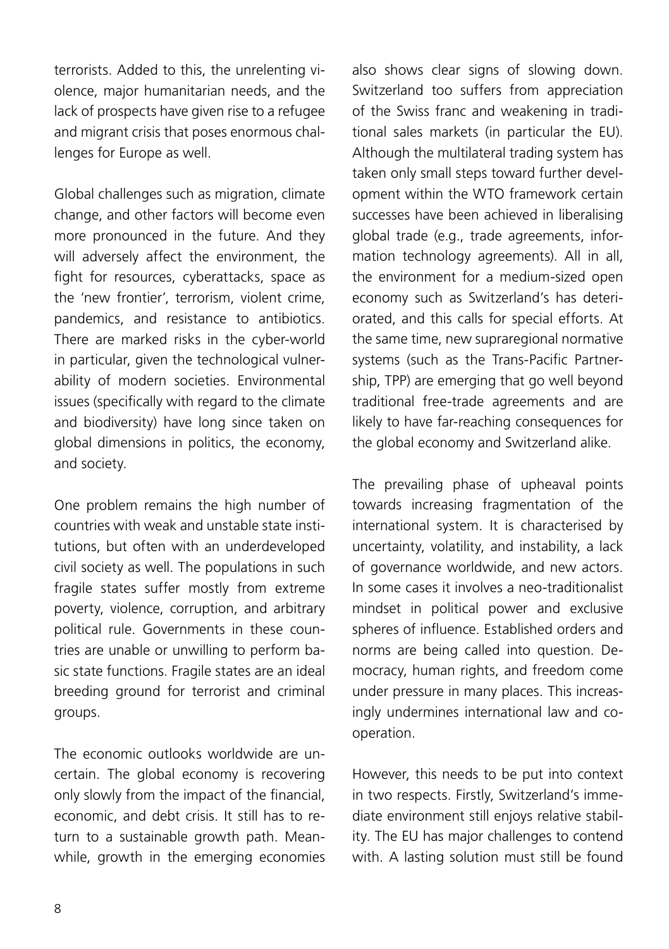terrorists. Added to this, the unrelenting violence, major humanitarian needs, and the lack of prospects have given rise to a refugee and migrant crisis that poses enormous challenges for Europe as well.

Global challenges such as migration, climate change, and other factors will become even more pronounced in the future. And they will adversely affect the environment, the fight for resources, cyberattacks, space as the 'new frontier', terrorism, violent crime, pandemics, and resistance to antibiotics. There are marked risks in the cyber-world in particular, given the technological vulnerability of modern societies. Environmental issues (specifically with regard to the climate and biodiversity) have long since taken on global dimensions in politics, the economy, and society.

One problem remains the high number of countries with weak and unstable state institutions, but often with an underdeveloped civil society as well. The populations in such fragile states suffer mostly from extreme poverty, violence, corruption, and arbitrary political rule. Governments in these countries are unable or unwilling to perform basic state functions. Fragile states are an ideal breeding ground for terrorist and criminal groups.

The economic outlooks worldwide are uncertain. The global economy is recovering only slowly from the impact of the financial, economic, and debt crisis. It still has to return to a sustainable growth path. Meanwhile, growth in the emerging economies

also shows clear signs of slowing down. Switzerland too suffers from appreciation of the Swiss franc and weakening in traditional sales markets (in particular the EU). Although the multilateral trading system has taken only small steps toward further development within the WTO framework certain successes have been achieved in liberalising global trade (e.g., trade agreements, information technology agreements). All in all, the environment for a medium-sized open economy such as Switzerland's has deteriorated, and this calls for special efforts. At the same time, new supraregional normative systems (such as the Trans-Pacific Partnership, TPP) are emerging that go well beyond traditional free-trade agreements and are likely to have far-reaching consequences for the global economy and Switzerland alike.

The prevailing phase of upheaval points towards increasing fragmentation of the international system. It is characterised by uncertainty, volatility, and instability, a lack of governance worldwide, and new actors. In some cases it involves a neo-traditionalist mindset in political power and exclusive spheres of influence. Established orders and norms are being called into question. Democracy, human rights, and freedom come under pressure in many places. This increasingly undermines international law and cooperation.

However, this needs to be put into context in two respects. Firstly, Switzerland's immediate environment still enjoys relative stability. The EU has major challenges to contend with. A lasting solution must still be found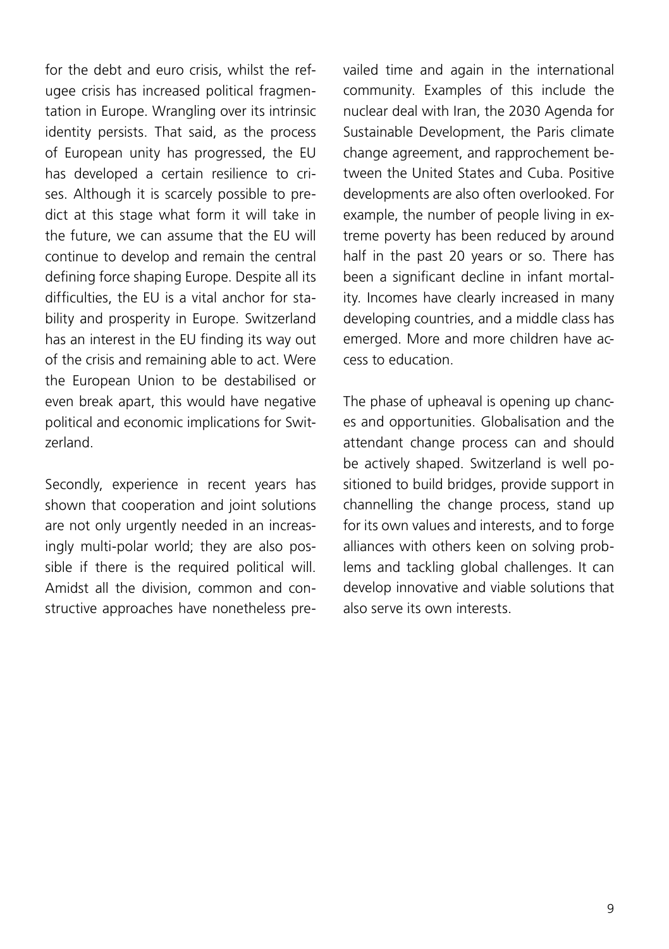for the debt and euro crisis, whilst the refugee crisis has increased political fragmentation in Europe. Wrangling over its intrinsic identity persists. That said, as the process of European unity has progressed, the EU has developed a certain resilience to crises. Although it is scarcely possible to predict at this stage what form it will take in the future, we can assume that the EU will continue to develop and remain the central defining force shaping Europe. Despite all its difficulties, the EU is a vital anchor for stability and prosperity in Europe. Switzerland has an interest in the EU finding its way out of the crisis and remaining able to act. Were the European Union to be destabilised or even break apart, this would have negative political and economic implications for Switzerland.

Secondly, experience in recent years has shown that cooperation and joint solutions are not only urgently needed in an increasingly multi-polar world; they are also possible if there is the required political will. Amidst all the division, common and constructive approaches have nonetheless prevailed time and again in the international community. Examples of this include the nuclear deal with Iran, the 2030 Agenda for Sustainable Development, the Paris climate change agreement, and rapprochement between the United States and Cuba. Positive developments are also often overlooked. For example, the number of people living in extreme poverty has been reduced by around half in the past 20 years or so. There has been a significant decline in infant mortality. Incomes have clearly increased in many developing countries, and a middle class has emerged. More and more children have access to education.

The phase of upheaval is opening up chances and opportunities. Globalisation and the attendant change process can and should be actively shaped. Switzerland is well positioned to build bridges, provide support in channelling the change process, stand up for its own values and interests, and to forge alliances with others keen on solving problems and tackling global challenges. It can develop innovative and viable solutions that also serve its own interests.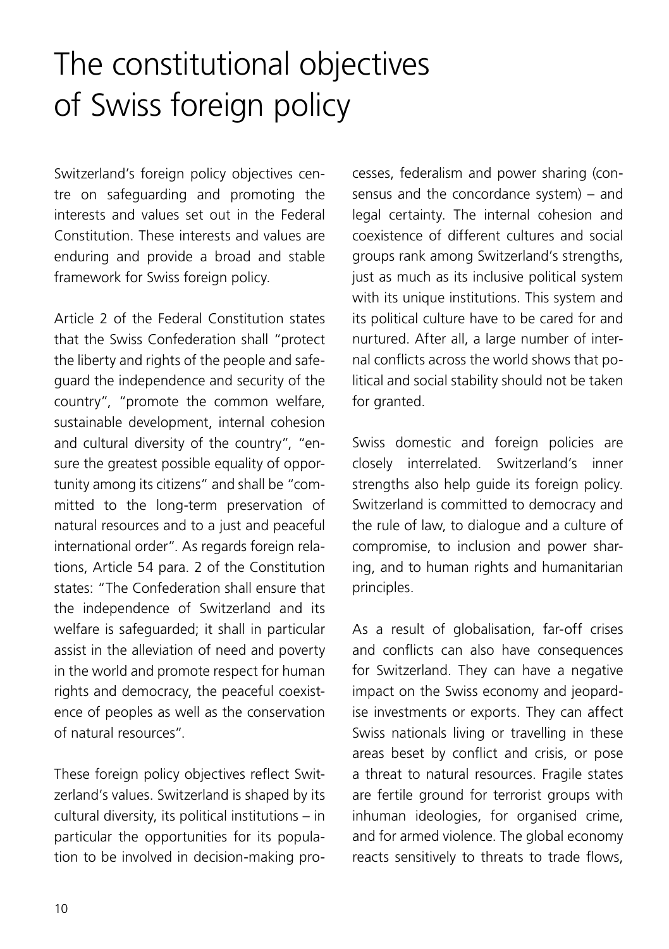## <span id="page-9-0"></span>The constitutional objectives of Swiss foreign policy

Switzerland's foreign policy objectives centre on safeguarding and promoting the interests and values set out in the Federal Constitution. These interests and values are enduring and provide a broad and stable framework for Swiss foreign policy.

Article 2 of the Federal Constitution states that the Swiss Confederation shall "protect the liberty and rights of the people and safeguard the independence and security of the country", "promote the common welfare, sustainable development, internal cohesion and cultural diversity of the country", "ensure the greatest possible equality of opportunity among its citizens" and shall be "committed to the long-term preservation of natural resources and to a just and peaceful international order". As regards foreign relations, Article 54 para. 2 of the Constitution states: "The Confederation shall ensure that the independence of Switzerland and its welfare is safeguarded; it shall in particular assist in the alleviation of need and poverty in the world and promote respect for human rights and democracy, the peaceful coexistence of peoples as well as the conservation of natural resources".

These foreign policy objectives reflect Switzerland's values. Switzerland is shaped by its cultural diversity, its political institutions – in particular the opportunities for its population to be involved in decision-making processes, federalism and power sharing (consensus and the concordance system) – and legal certainty. The internal cohesion and coexistence of different cultures and social groups rank among Switzerland's strengths, just as much as its inclusive political system with its unique institutions. This system and its political culture have to be cared for and nurtured. After all, a large number of internal conflicts across the world shows that political and social stability should not be taken for granted.

Swiss domestic and foreign policies are closely interrelated. Switzerland's inner strengths also help guide its foreign policy. Switzerland is committed to democracy and the rule of law, to dialogue and a culture of compromise, to inclusion and power sharing, and to human rights and humanitarian principles.

As a result of globalisation, far-off crises and conflicts can also have consequences for Switzerland. They can have a negative impact on the Swiss economy and jeopardise investments or exports. They can affect Swiss nationals living or travelling in these areas beset by conflict and crisis, or pose a threat to natural resources. Fragile states are fertile ground for terrorist groups with inhuman ideologies, for organised crime, and for armed violence. The global economy reacts sensitively to threats to trade flows,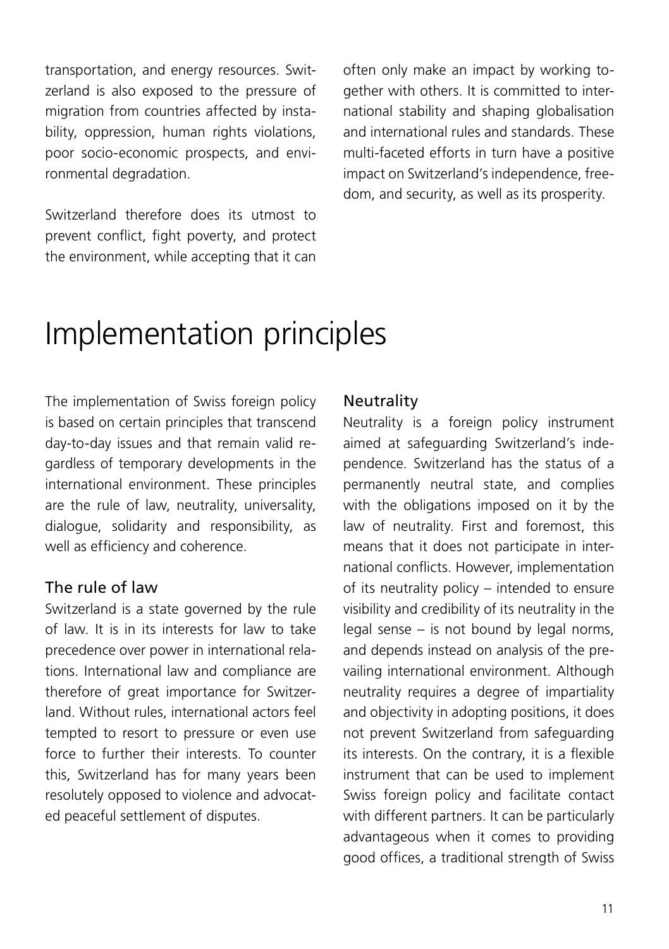<span id="page-10-0"></span>transportation, and energy resources. Switzerland is also exposed to the pressure of migration from countries affected by instability, oppression, human rights violations, poor socio-economic prospects, and environmental degradation.

Switzerland therefore does its utmost to prevent conflict, fight poverty, and protect the environment, while accepting that it can

often only make an impact by working together with others. It is committed to international stability and shaping globalisation and international rules and standards. These multi-faceted efforts in turn have a positive impact on Switzerland's independence, freedom, and security, as well as its prosperity.

## Implementation principles

The implementation of Swiss foreign policy is based on certain principles that transcend day-to-day issues and that remain valid regardless of temporary developments in the international environment. These principles are the rule of law, neutrality, universality, dialogue, solidarity and responsibility, as well as efficiency and coherence.

#### The rule of law

Switzerland is a state governed by the rule of law. It is in its interests for law to take precedence over power in international relations. International law and compliance are therefore of great importance for Switzerland. Without rules, international actors feel tempted to resort to pressure or even use force to further their interests. To counter this, Switzerland has for many years been resolutely opposed to violence and advocated peaceful settlement of disputes.

#### **Neutrality**

Neutrality is a foreign policy instrument aimed at safeguarding Switzerland's independence. Switzerland has the status of a permanently neutral state, and complies with the obligations imposed on it by the law of neutrality. First and foremost, this means that it does not participate in international conflicts. However, implementation of its neutrality policy – intended to ensure visibility and credibility of its neutrality in the legal sense – is not bound by legal norms, and depends instead on analysis of the prevailing international environment. Although neutrality requires a degree of impartiality and objectivity in adopting positions, it does not prevent Switzerland from safeguarding its interests. On the contrary, it is a flexible instrument that can be used to implement Swiss foreign policy and facilitate contact with different partners. It can be particularly advantageous when it comes to providing good offices, a traditional strength of Swiss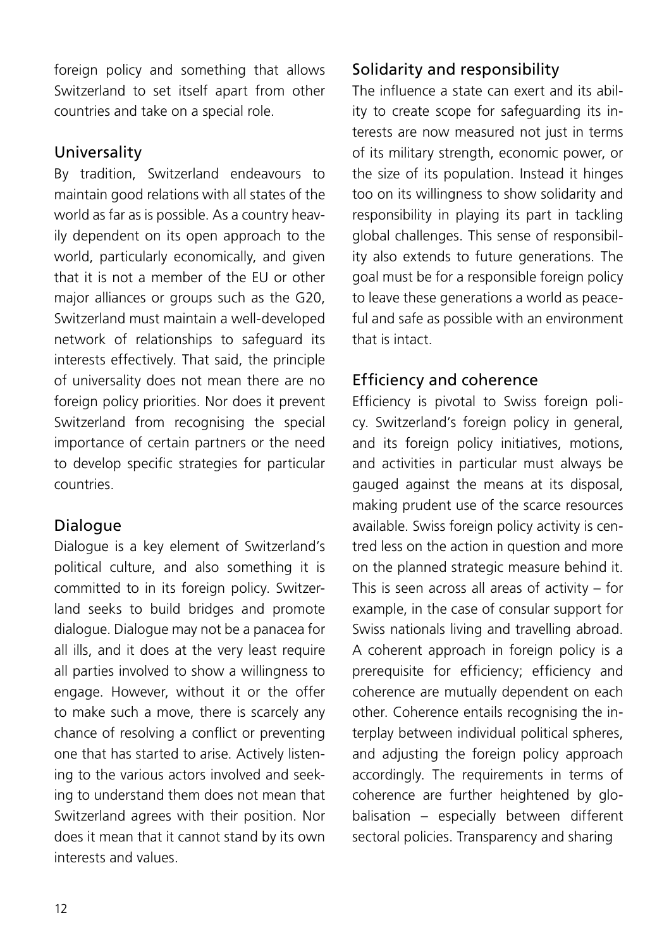foreign policy and something that allows Switzerland to set itself apart from other countries and take on a special role.

### Universality

By tradition, Switzerland endeavours to maintain good relations with all states of the world as far as is possible. As a country heavily dependent on its open approach to the world, particularly economically, and given that it is not a member of the EU or other major alliances or groups such as the G20. Switzerland must maintain a well-developed network of relationships to safeguard its interests effectively. That said, the principle of universality does not mean there are no foreign policy priorities. Nor does it prevent Switzerland from recognising the special importance of certain partners or the need to develop specific strategies for particular countries.

### Dialogue

Dialogue is a key element of Switzerland's political culture, and also something it is committed to in its foreign policy. Switzerland seeks to build bridges and promote dialogue. Dialogue may not be a panacea for all ills, and it does at the very least require all parties involved to show a willingness to engage. However, without it or the offer to make such a move, there is scarcely any chance of resolving a conflict or preventing one that has started to arise. Actively listening to the various actors involved and seeking to understand them does not mean that Switzerland agrees with their position. Nor does it mean that it cannot stand by its own interests and values.

### Solidarity and responsibility

The influence a state can exert and its ability to create scope for safeguarding its interests are now measured not just in terms of its military strength, economic power, or the size of its population. Instead it hinges too on its willingness to show solidarity and responsibility in playing its part in tackling global challenges. This sense of responsibility also extends to future generations. The goal must be for a responsible foreign policy to leave these generations a world as peaceful and safe as possible with an environment that is intact.

### Efficiency and coherence

Efficiency is pivotal to Swiss foreign policy. Switzerland's foreign policy in general, and its foreign policy initiatives, motions, and activities in particular must always be gauged against the means at its disposal, making prudent use of the scarce resources available. Swiss foreign policy activity is centred less on the action in question and more on the planned strategic measure behind it. This is seen across all areas of activity – for example, in the case of consular support for Swiss nationals living and travelling abroad. A coherent approach in foreign policy is a prerequisite for efficiency; efficiency and coherence are mutually dependent on each other. Coherence entails recognising the interplay between individual political spheres, and adjusting the foreign policy approach accordingly. The requirements in terms of coherence are further heightened by globalisation – especially between different sectoral policies. Transparency and sharing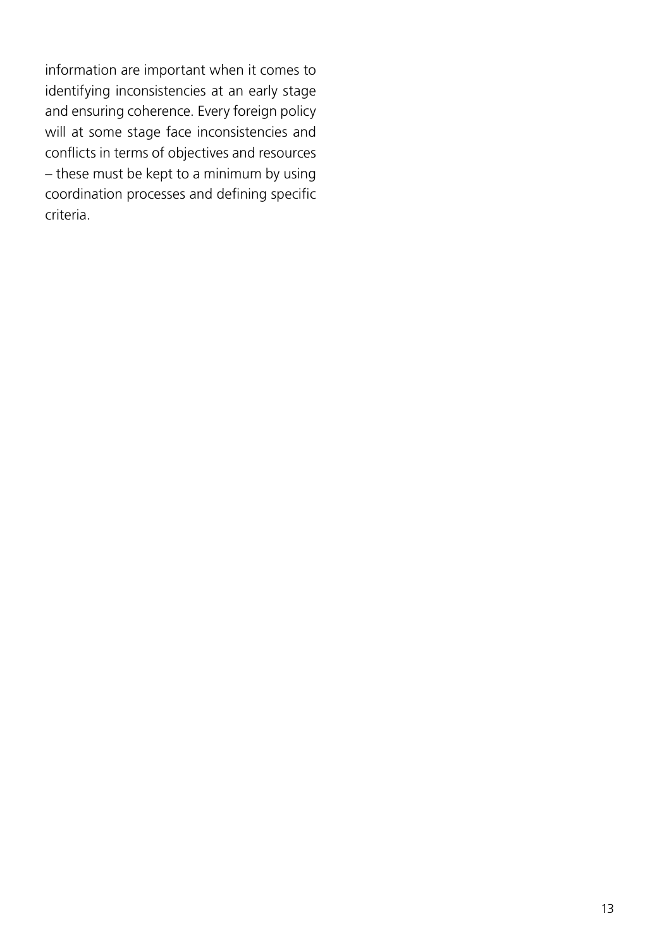information are important when it comes to identifying inconsistencies at an early stage and ensuring coherence. Every foreign policy will at some stage face inconsistencies and conflicts in terms of objectives and resources – these must be kept to a minimum by using coordination processes and defining specific criteria.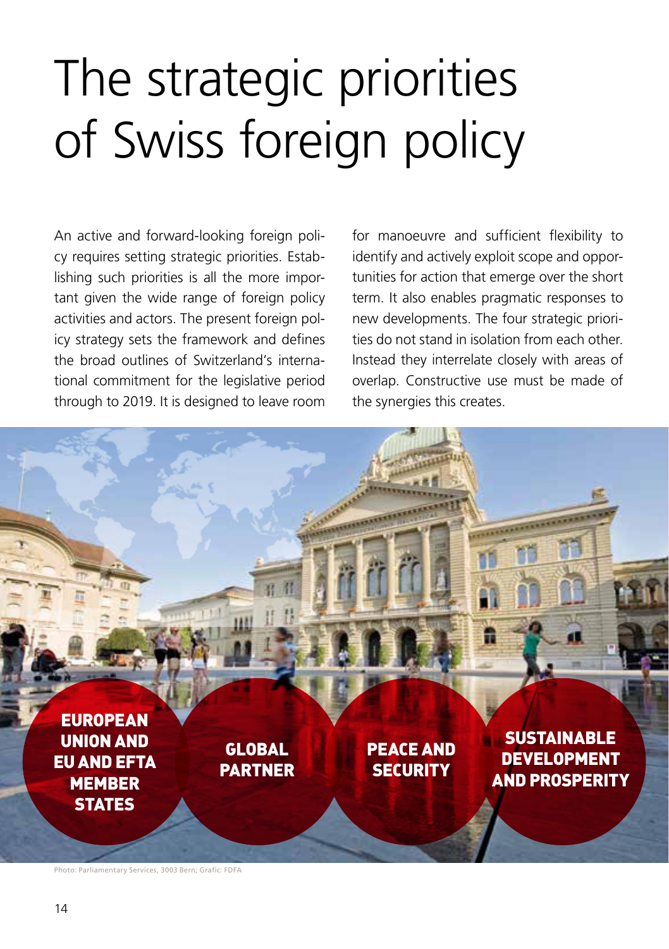# <span id="page-13-0"></span>The strategic priorities of Swiss foreign policy

An active and forward-looking foreign policy requires setting strategic priorities. Establishing such priorities is all the more important given the wide range of foreign policy activities and actors. The present foreign policy strategy sets the framework and defines the broad outlines of Switzerland's international commitment for the legislative period through to 2019. It is designed to leave room

for manoeuvre and sufficient flexibility to identify and actively exploit scope and opportunities for action that emerge over the short term. It also enables pragmatic responses to new developments. The four strategic priorities do not stand in isolation from each other. Instead they interrelate closely with areas of overlap. Constructive use must be made of the synergies this creates.



Photo: Parliamentary Services, 3003 Bern; Grafic: FDFA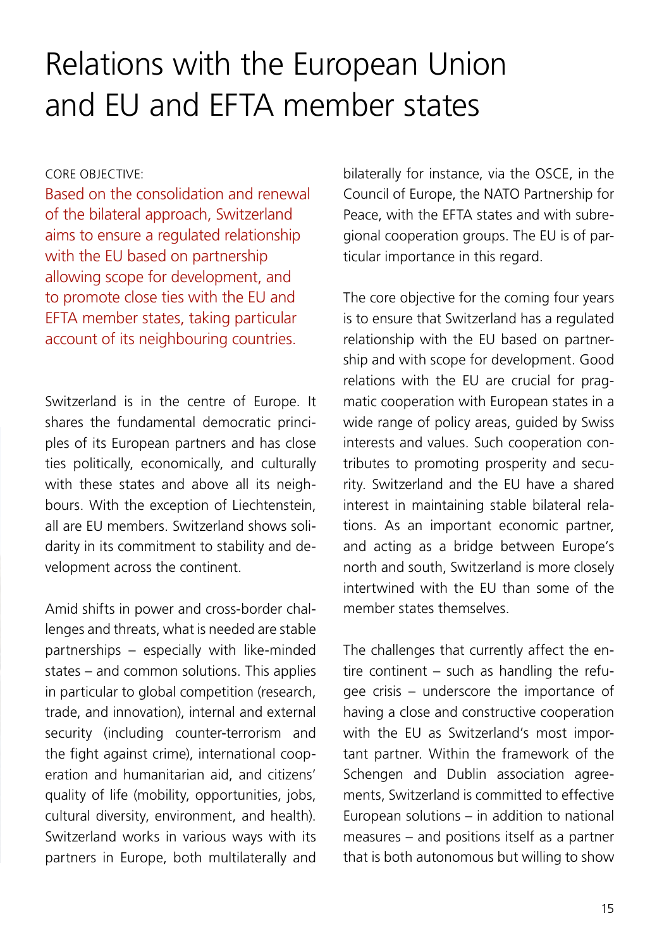## <span id="page-14-0"></span>Relations with the European Union and EU and EFTA member states

#### CORE OBJECTIVE:

Based on the consolidation and renewal of the bilateral approach, Switzerland aims to ensure a regulated relationship with the EU based on partnership allowing scope for development, and to promote close ties with the EU and EFTA member states, taking particular account of its neighbouring countries.

Switzerland is in the centre of Europe. It shares the fundamental democratic principles of its European partners and has close ties politically, economically, and culturally with these states and above all its neighbours. With the exception of Liechtenstein, all are EU members. Switzerland shows solidarity in its commitment to stability and development across the continent.

Amid shifts in power and cross-border challenges and threats, what is needed are stable partnerships – especially with like-minded states – and common solutions. This applies in particular to global competition (research, trade, and innovation), internal and external security (including counter-terrorism and the fight against crime), international cooperation and humanitarian aid, and citizens' quality of life (mobility, opportunities, jobs, cultural diversity, environment, and health). Switzerland works in various ways with its partners in Europe, both multilaterally and

bilaterally for instance, via the OSCE, in the Council of Europe, the NATO Partnership for Peace, with the EFTA states and with subregional cooperation groups. The EU is of particular importance in this regard.

The core objective for the coming four years is to ensure that Switzerland has a regulated relationship with the EU based on partnership and with scope for development. Good relations with the EU are crucial for pragmatic cooperation with European states in a wide range of policy areas, guided by Swiss interests and values. Such cooperation contributes to promoting prosperity and security. Switzerland and the EU have a shared interest in maintaining stable bilateral relations. As an important economic partner, and acting as a bridge between Europe's north and south, Switzerland is more closely intertwined with the EU than some of the member states themselves.

The challenges that currently affect the entire continent – such as handling the refugee crisis – underscore the importance of having a close and constructive cooperation with the EU as Switzerland's most important partner. Within the framework of the Schengen and Dublin association agreements, Switzerland is committed to effective European solutions – in addition to national measures – and positions itself as a partner that is both autonomous but willing to show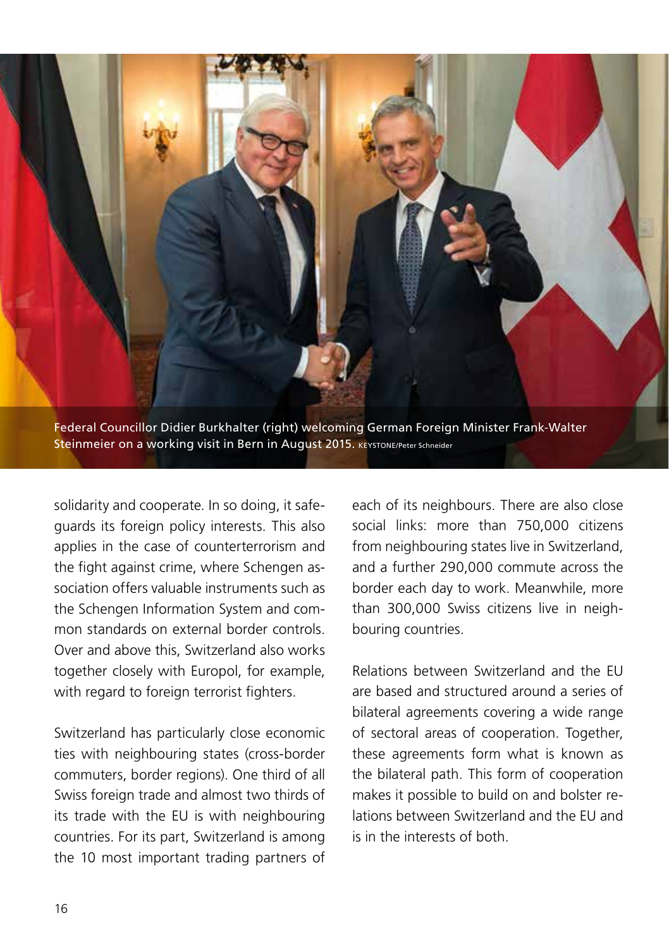

solidarity and cooperate. In so doing, it safeguards its foreign policy interests. This also applies in the case of counterterrorism and the fight against crime, where Schengen association offers valuable instruments such as the Schengen Information System and common standards on external border controls. Over and above this, Switzerland also works together closely with Europol, for example, with regard to foreign terrorist fighters.

Switzerland has particularly close economic ties with neighbouring states (cross-border commuters, border regions). One third of all Swiss foreign trade and almost two thirds of its trade with the EU is with neighbouring countries. For its part, Switzerland is among the 10 most important trading partners of

each of its neighbours. There are also close social links: more than 750,000 citizens from neighbouring states live in Switzerland, and a further 290,000 commute across the border each day to work. Meanwhile, more than 300,000 Swiss citizens live in neighbouring countries.

Relations between Switzerland and the EU are based and structured around a series of bilateral agreements covering a wide range of sectoral areas of cooperation. Together, these agreements form what is known as the bilateral path. This form of cooperation makes it possible to build on and bolster relations between Switzerland and the EU and is in the interests of both.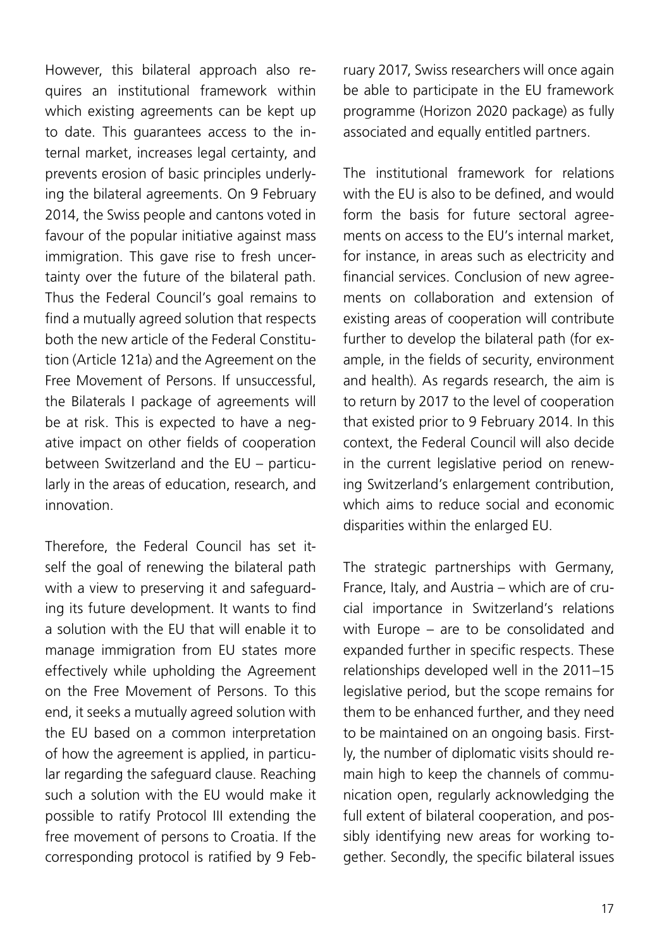However, this bilateral approach also requires an institutional framework within which existing agreements can be kept up to date. This guarantees access to the internal market, increases legal certainty, and prevents erosion of basic principles underlying the bilateral agreements. On 9 February 2014, the Swiss people and cantons voted in favour of the popular initiative against mass immigration. This gave rise to fresh uncertainty over the future of the bilateral path. Thus the Federal Council's goal remains to find a mutually agreed solution that respects both the new article of the Federal Constitution (Article 121a) and the Agreement on the Free Movement of Persons. If unsuccessful, the Bilaterals I package of agreements will be at risk. This is expected to have a negative impact on other fields of cooperation between Switzerland and the EU – particularly in the areas of education, research, and innovation.

Therefore, the Federal Council has set itself the goal of renewing the bilateral path with a view to preserving it and safeguarding its future development. It wants to find a solution with the EU that will enable it to manage immigration from EU states more effectively while upholding the Agreement on the Free Movement of Persons. To this end, it seeks a mutually agreed solution with the EU based on a common interpretation of how the agreement is applied, in particular regarding the safeguard clause. Reaching such a solution with the EU would make it possible to ratify Protocol III extending the free movement of persons to Croatia. If the corresponding protocol is ratified by 9 February 2017, Swiss researchers will once again be able to participate in the EU framework programme (Horizon 2020 package) as fully associated and equally entitled partners.

The institutional framework for relations with the EU is also to be defined, and would form the basis for future sectoral agreements on access to the EU's internal market, for instance, in areas such as electricity and financial services. Conclusion of new agreements on collaboration and extension of existing areas of cooperation will contribute further to develop the bilateral path (for example, in the fields of security, environment and health). As regards research, the aim is to return by 2017 to the level of cooperation that existed prior to 9 February 2014. In this context, the Federal Council will also decide in the current legislative period on renewing Switzerland's enlargement contribution, which aims to reduce social and economic disparities within the enlarged EU.

The strategic partnerships with Germany, France, Italy, and Austria – which are of crucial importance in Switzerland's relations with Europe – are to be consolidated and expanded further in specific respects. These relationships developed well in the 2011–15 legislative period, but the scope remains for them to be enhanced further, and they need to be maintained on an ongoing basis. Firstly, the number of diplomatic visits should remain high to keep the channels of communication open, regularly acknowledging the full extent of bilateral cooperation, and possibly identifying new areas for working together. Secondly, the specific bilateral issues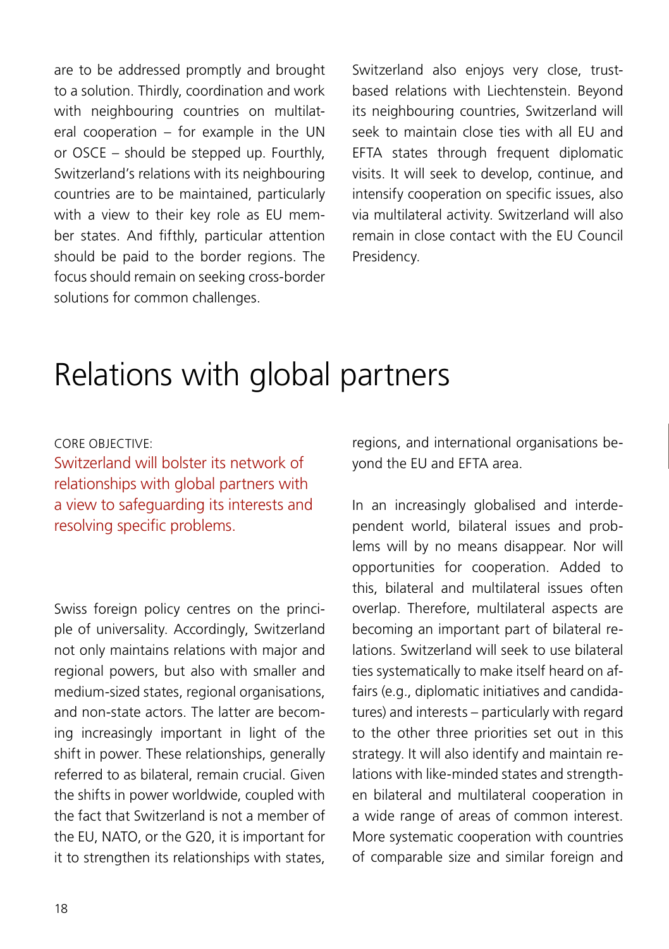<span id="page-17-0"></span>are to be addressed promptly and brought to a solution. Thirdly, coordination and work with neighbouring countries on multilateral cooperation – for example in the UN or OSCE – should be stepped up. Fourthly, Switzerland's relations with its neighbouring countries are to be maintained, particularly with a view to their key role as EU member states. And fifthly, particular attention should be paid to the border regions. The focus should remain on seeking cross-border solutions for common challenges.

Switzerland also enjoys very close, trustbased relations with Liechtenstein. Beyond its neighbouring countries, Switzerland will seek to maintain close ties with all EU and EFTA states through frequent diplomatic visits. It will seek to develop, continue, and intensify cooperation on specific issues, also via multilateral activity. Switzerland will also remain in close contact with the EU Council Presidency.

## Relations with global partners

#### CORE OBJECTIVE:

Switzerland will bolster its network of relationships with global partners with a view to safeguarding its interests and resolving specific problems.

Swiss foreign policy centres on the principle of universality. Accordingly, Switzerland not only maintains relations with major and regional powers, but also with smaller and medium-sized states, regional organisations, and non-state actors. The latter are becoming increasingly important in light of the shift in power. These relationships, generally referred to as bilateral, remain crucial. Given the shifts in power worldwide, coupled with the fact that Switzerland is not a member of the EU, NATO, or the G20, it is important for it to strengthen its relationships with states,

regions, and international organisations beyond the EU and EFTA area.

In an increasingly globalised and interdependent world, bilateral issues and problems will by no means disappear. Nor will opportunities for cooperation. Added to this, bilateral and multilateral issues often overlap. Therefore, multilateral aspects are becoming an important part of bilateral relations. Switzerland will seek to use bilateral ties systematically to make itself heard on affairs (e.g., diplomatic initiatives and candidatures) and interests – particularly with regard to the other three priorities set out in this strategy. It will also identify and maintain relations with like-minded states and strengthen bilateral and multilateral cooperation in a wide range of areas of common interest. More systematic cooperation with countries of comparable size and similar foreign and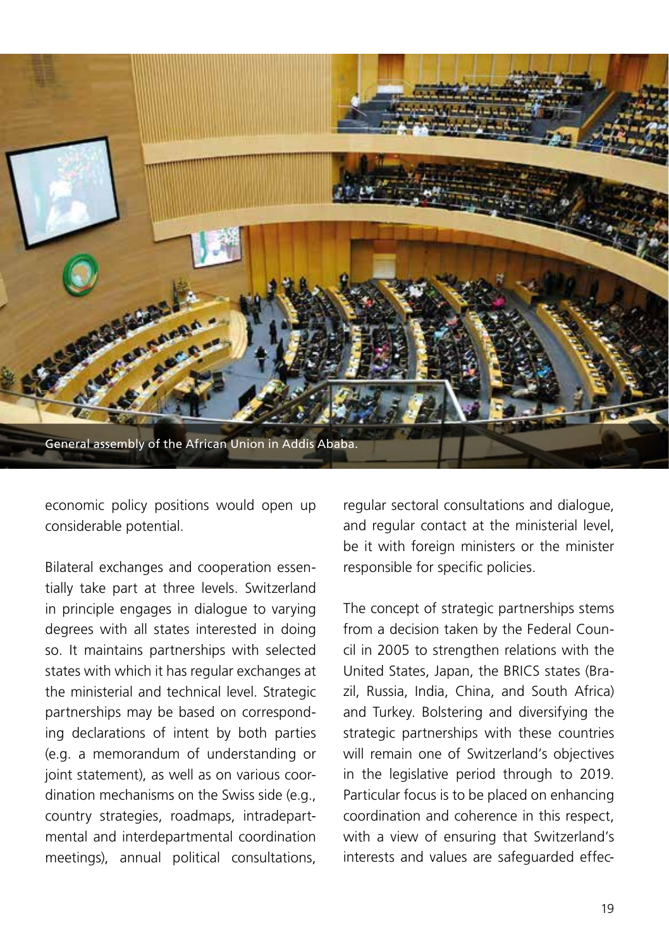

economic policy positions would open up considerable potential.

Bilateral exchanges and cooperation essentially take part at three levels. Switzerland in principle engages in dialogue to varying degrees with all states interested in doing so. It maintains partnerships with selected states with which it has regular exchanges at the ministerial and technical level. Strategic partnerships may be based on corresponding declarations of intent by both parties (e.g. a memorandum of understanding or joint statement), as well as on various coordination mechanisms on the Swiss side (e.g., country strategies, roadmaps, intradepartmental and interdepartmental coordination meetings), annual political consultations, regular sectoral consultations and dialogue, and regular contact at the ministerial level, be it with foreign ministers or the minister responsible for specific policies.

The concept of strategic partnerships stems from a decision taken by the Federal Council in 2005 to strengthen relations with the United States, Japan, the BRICS states (Brazil, Russia, India, China, and South Africa) and Turkey. Bolstering and diversifying the strategic partnerships with these countries will remain one of Switzerland's objectives in the legislative period through to 2019. Particular focus is to be placed on enhancing coordination and coherence in this respect, with a view of ensuring that Switzerland's interests and values are safeguarded effec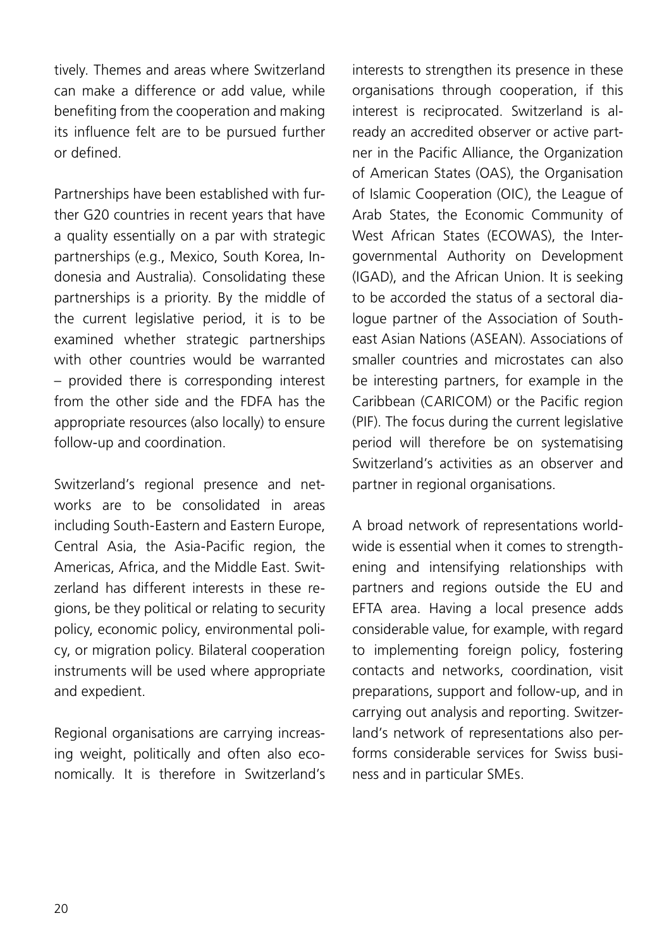tively. Themes and areas where Switzerland can make a difference or add value, while benefiting from the cooperation and making its influence felt are to be pursued further or defined.

Partnerships have been established with further G20 countries in recent years that have a quality essentially on a par with strategic partnerships (e.g., Mexico, South Korea, Indonesia and Australia). Consolidating these partnerships is a priority. By the middle of the current legislative period, it is to be examined whether strategic partnerships with other countries would be warranted – provided there is corresponding interest from the other side and the FDFA has the appropriate resources (also locally) to ensure follow-up and coordination.

Switzerland's regional presence and networks are to be consolidated in areas including South-Eastern and Eastern Europe, Central Asia, the Asia-Pacific region, the Americas, Africa, and the Middle East. Switzerland has different interests in these regions, be they political or relating to security policy, economic policy, environmental policy, or migration policy. Bilateral cooperation instruments will be used where appropriate and expedient.

Regional organisations are carrying increasing weight, politically and often also economically. It is therefore in Switzerland's interests to strengthen its presence in these organisations through cooperation, if this interest is reciprocated. Switzerland is already an accredited observer or active partner in the Pacific Alliance, the Organization of American States (OAS), the Organisation of Islamic Cooperation (OIC), the League of Arab States, the Economic Community of West African States (ECOWAS), the Intergovernmental Authority on Development (IGAD), and the African Union. It is seeking to be accorded the status of a sectoral dialogue partner of the Association of Southeast Asian Nations (ASEAN). Associations of smaller countries and microstates can also be interesting partners, for example in the Caribbean (CARICOM) or the Pacific region (PIF). The focus during the current legislative period will therefore be on systematising Switzerland's activities as an observer and partner in regional organisations.

A broad network of representations worldwide is essential when it comes to strengthening and intensifying relationships with partners and regions outside the EU and EFTA area. Having a local presence adds considerable value, for example, with regard to implementing foreign policy, fostering contacts and networks, coordination, visit preparations, support and follow-up, and in carrying out analysis and reporting. Switzerland's network of representations also performs considerable services for Swiss business and in particular SMEs.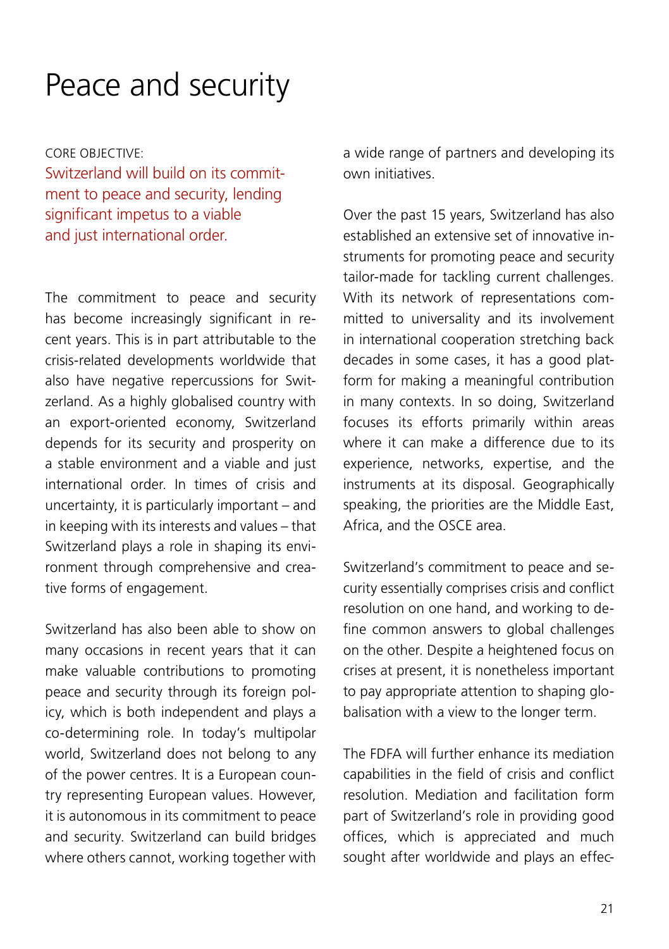### <span id="page-20-0"></span>Peace and security

CORE OBJECTIVE: Switzerland will build on its commitment to peace and security, lending significant impetus to a viable and just international order.

The commitment to peace and security has become increasingly significant in recent years. This is in part attributable to the crisis-related developments worldwide that also have negative repercussions for Switzerland. As a highly globalised country with an export-oriented economy, Switzerland depends for its security and prosperity on a stable environment and a viable and just international order. In times of crisis and uncertainty, it is particularly important – and in keeping with its interests and values – that Switzerland plays a role in shaping its environment through comprehensive and creative forms of engagement.

Switzerland has also been able to show on many occasions in recent years that it can make valuable contributions to promoting peace and security through its foreign policy, which is both independent and plays a co-determining role. In today's multipolar world, Switzerland does not belong to any of the power centres. It is a European country representing European values. However, it is autonomous in its commitment to peace and security. Switzerland can build bridges where others cannot, working together with

a wide range of partners and developing its own initiatives.

Over the past 15 years, Switzerland has also established an extensive set of innovative instruments for promoting peace and security tailor-made for tackling current challenges. With its network of representations committed to universality and its involvement in international cooperation stretching back decades in some cases, it has a good platform for making a meaningful contribution in many contexts. In so doing, Switzerland focuses its efforts primarily within areas where it can make a difference due to its experience, networks, expertise, and the instruments at its disposal. Geographically speaking, the priorities are the Middle East, Africa, and the OSCE area.

Switzerland's commitment to peace and security essentially comprises crisis and conflict resolution on one hand, and working to define common answers to global challenges on the other. Despite a heightened focus on crises at present, it is nonetheless important to pay appropriate attention to shaping globalisation with a view to the longer term.

The FDFA will further enhance its mediation capabilities in the field of crisis and conflict resolution. Mediation and facilitation form part of Switzerland's role in providing good offices, which is appreciated and much sought after worldwide and plays an effec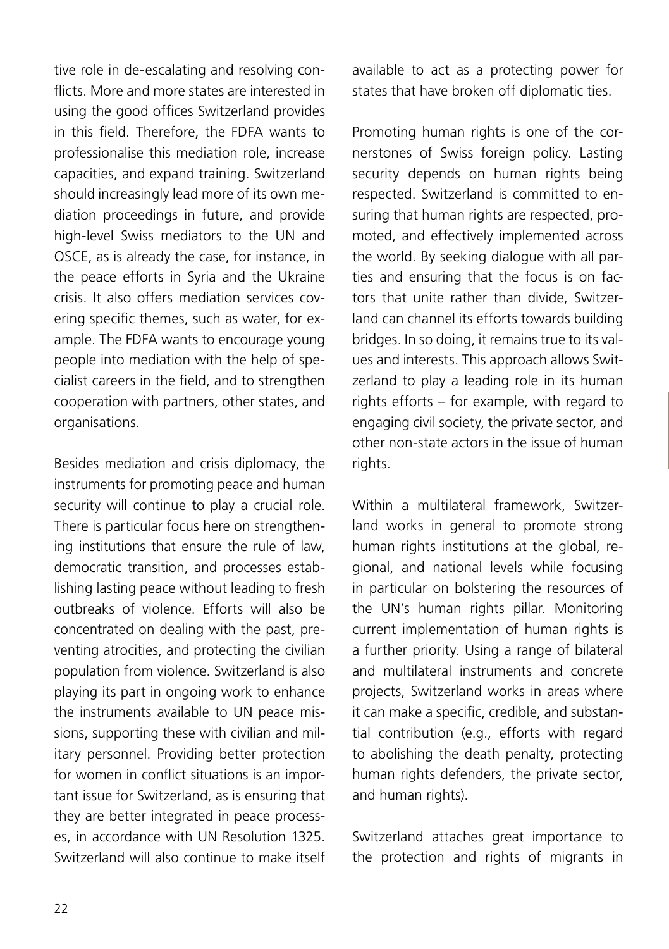tive role in de-escalating and resolving conflicts. More and more states are interested in using the good offices Switzerland provides in this field. Therefore, the FDFA wants to professionalise this mediation role, increase capacities, and expand training. Switzerland should increasingly lead more of its own mediation proceedings in future, and provide high-level Swiss mediators to the UN and OSCE, as is already the case, for instance, in the peace efforts in Syria and the Ukraine crisis. It also offers mediation services covering specific themes, such as water, for example. The FDFA wants to encourage young people into mediation with the help of specialist careers in the field, and to strengthen cooperation with partners, other states, and organisations.

Besides mediation and crisis diplomacy, the instruments for promoting peace and human security will continue to play a crucial role. There is particular focus here on strengthening institutions that ensure the rule of law, democratic transition, and processes establishing lasting peace without leading to fresh outbreaks of violence. Efforts will also be concentrated on dealing with the past, preventing atrocities, and protecting the civilian population from violence. Switzerland is also playing its part in ongoing work to enhance the instruments available to UN peace missions, supporting these with civilian and military personnel. Providing better protection for women in conflict situations is an important issue for Switzerland, as is ensuring that they are better integrated in peace processes, in accordance with UN Resolution 1325. Switzerland will also continue to make itself

available to act as a protecting power for states that have broken off diplomatic ties.

Promoting human rights is one of the cornerstones of Swiss foreign policy. Lasting security depends on human rights being respected. Switzerland is committed to ensuring that human rights are respected, promoted, and effectively implemented across the world. By seeking dialogue with all parties and ensuring that the focus is on factors that unite rather than divide, Switzerland can channel its efforts towards building bridges. In so doing, it remains true to its values and interests. This approach allows Switzerland to play a leading role in its human rights efforts – for example, with regard to engaging civil society, the private sector, and other non-state actors in the issue of human rights.

Within a multilateral framework, Switzerland works in general to promote strong human rights institutions at the global, regional, and national levels while focusing in particular on bolstering the resources of the UN's human rights pillar. Monitoring current implementation of human rights is a further priority. Using a range of bilateral and multilateral instruments and concrete projects, Switzerland works in areas where it can make a specific, credible, and substantial contribution (e.g., efforts with regard to abolishing the death penalty, protecting human rights defenders, the private sector, and human rights).

Switzerland attaches great importance to the protection and rights of migrants in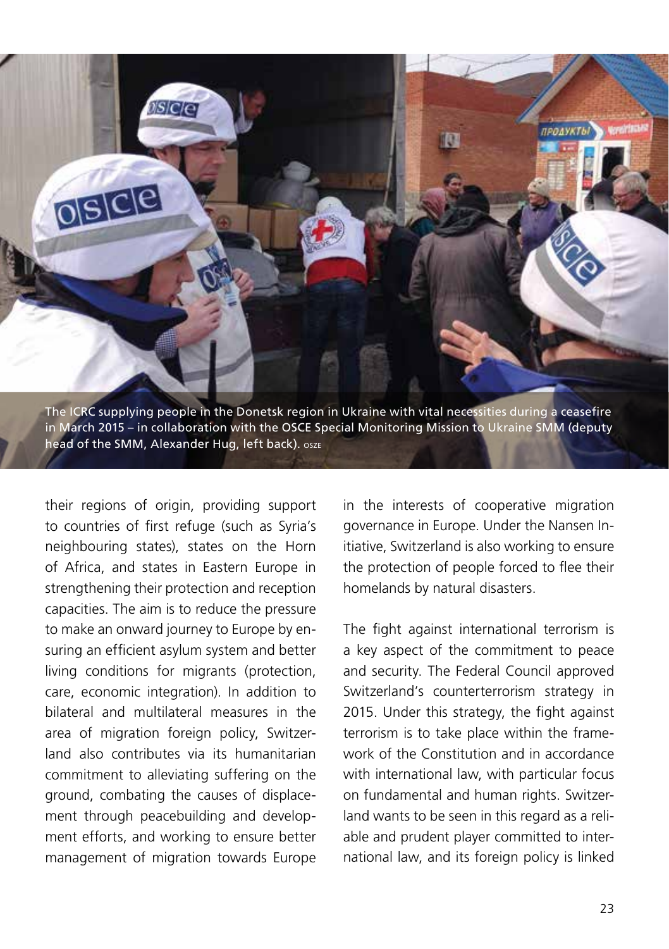

their regions of origin, providing support to countries of first refuge (such as Syria's neighbouring states), states on the Horn of Africa, and states in Eastern Europe in strengthening their protection and reception capacities. The aim is to reduce the pressure to make an onward journey to Europe by ensuring an efficient asylum system and better living conditions for migrants (protection, care, economic integration). In addition to bilateral and multilateral measures in the area of migration foreign policy, Switzerland also contributes via its humanitarian commitment to alleviating suffering on the ground, combating the causes of displacement through peacebuilding and development efforts, and working to ensure better management of migration towards Europe

in the interests of cooperative migration governance in Europe. Under the Nansen Initiative, Switzerland is also working to ensure the protection of people forced to flee their homelands by natural disasters.

The fight against international terrorism is a key aspect of the commitment to peace and security. The Federal Council approved Switzerland's counterterrorism strategy in 2015. Under this strategy, the fight against terrorism is to take place within the framework of the Constitution and in accordance with international law, with particular focus on fundamental and human rights. Switzerland wants to be seen in this regard as a reliable and prudent player committed to international law, and its foreign policy is linked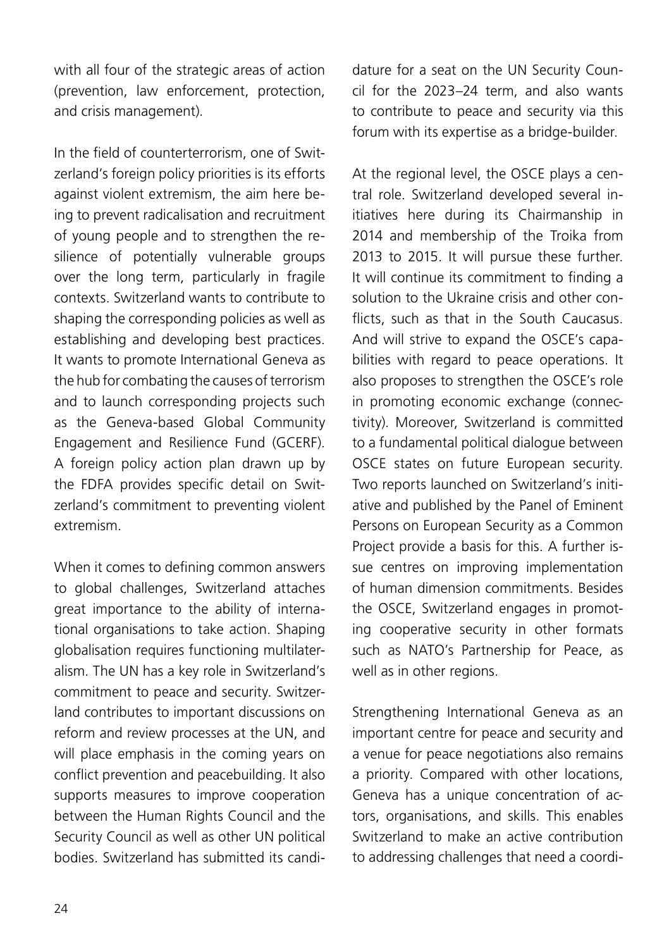with all four of the strategic areas of action (prevention, law enforcement, protection, and crisis management).

In the field of counterterrorism, one of Switzerland's foreign policy priorities is its efforts against violent extremism, the aim here being to prevent radicalisation and recruitment of young people and to strengthen the resilience of potentially vulnerable groups over the long term, particularly in fragile contexts. Switzerland wants to contribute to shaping the corresponding policies as well as establishing and developing best practices. It wants to promote International Geneva as the hub for combating the causes of terrorism and to launch corresponding projects such as the Geneva-based Global Community Engagement and Resilience Fund (GCERF). A foreign policy action plan drawn up by the FDFA provides specific detail on Switzerland's commitment to preventing violent extremism.

When it comes to defining common answers to global challenges, Switzerland attaches great importance to the ability of international organisations to take action. Shaping globalisation requires functioning multilateralism. The UN has a key role in Switzerland's commitment to peace and security. Switzerland contributes to important discussions on reform and review processes at the UN, and will place emphasis in the coming years on conflict prevention and peacebuilding. It also supports measures to improve cooperation between the Human Rights Council and the Security Council as well as other UN political bodies. Switzerland has submitted its candidature for a seat on the UN Security Council for the 2023–24 term, and also wants to contribute to peace and security via this forum with its expertise as a bridge-builder.

At the regional level, the OSCE plays a central role. Switzerland developed several initiatives here during its Chairmanship in 2014 and membership of the Troika from 2013 to 2015. It will pursue these further. It will continue its commitment to finding a solution to the Ukraine crisis and other conflicts, such as that in the South Caucasus. And will strive to expand the OSCE's capabilities with regard to peace operations. It also proposes to strengthen the OSCE's role in promoting economic exchange (connectivity). Moreover, Switzerland is committed to a fundamental political dialogue between OSCE states on future European security. Two reports launched on Switzerland's initiative and published by the Panel of Eminent Persons on European Security as a Common Project provide a basis for this. A further issue centres on improving implementation of human dimension commitments. Besides the OSCE, Switzerland engages in promoting cooperative security in other formats such as NATO's Partnership for Peace, as well as in other regions.

Strengthening International Geneva as an important centre for peace and security and a venue for peace negotiations also remains a priority. Compared with other locations, Geneva has a unique concentration of actors, organisations, and skills. This enables Switzerland to make an active contribution to addressing challenges that need a coordi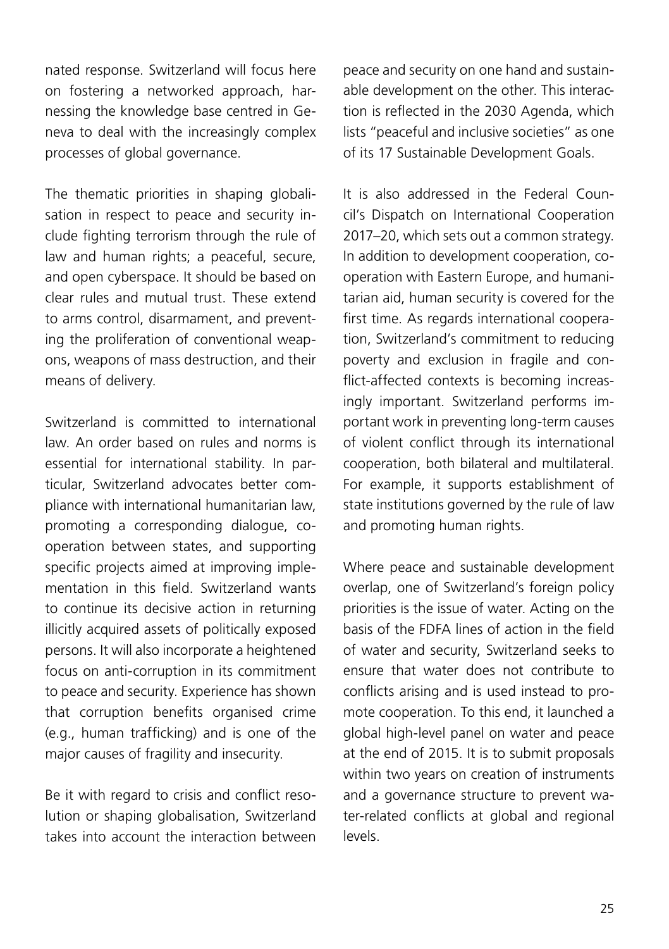nated response. Switzerland will focus here on fostering a networked approach, harnessing the knowledge base centred in Geneva to deal with the increasingly complex processes of global governance.

The thematic priorities in shaping globalisation in respect to peace and security include fighting terrorism through the rule of law and human rights; a peaceful, secure, and open cyberspace. It should be based on clear rules and mutual trust. These extend to arms control, disarmament, and preventing the proliferation of conventional weapons, weapons of mass destruction, and their means of delivery.

Switzerland is committed to international law. An order based on rules and norms is essential for international stability. In particular, Switzerland advocates better compliance with international humanitarian law, promoting a corresponding dialogue, cooperation between states, and supporting specific projects aimed at improving implementation in this field. Switzerland wants to continue its decisive action in returning illicitly acquired assets of politically exposed persons. It will also incorporate a heightened focus on anti-corruption in its commitment to peace and security. Experience has shown that corruption benefits organised crime (e.g., human trafficking) and is one of the major causes of fragility and insecurity.

Be it with regard to crisis and conflict resolution or shaping globalisation, Switzerland takes into account the interaction between peace and security on one hand and sustainable development on the other. This interaction is reflected in the 2030 Agenda, which lists "peaceful and inclusive societies" as one of its 17 Sustainable Development Goals.

It is also addressed in the Federal Council's Dispatch on International Cooperation 2017–20, which sets out a common strategy. In addition to development cooperation, cooperation with Eastern Europe, and humanitarian aid, human security is covered for the first time. As regards international cooperation, Switzerland's commitment to reducing poverty and exclusion in fragile and conflict-affected contexts is becoming increasingly important. Switzerland performs important work in preventing long-term causes of violent conflict through its international cooperation, both bilateral and multilateral. For example, it supports establishment of state institutions governed by the rule of law and promoting human rights.

Where peace and sustainable development overlap, one of Switzerland's foreign policy priorities is the issue of water. Acting on the basis of the FDFA lines of action in the field of water and security, Switzerland seeks to ensure that water does not contribute to conflicts arising and is used instead to promote cooperation. To this end, it launched a global high-level panel on water and peace at the end of 2015. It is to submit proposals within two years on creation of instruments and a governance structure to prevent water-related conflicts at global and regional levels.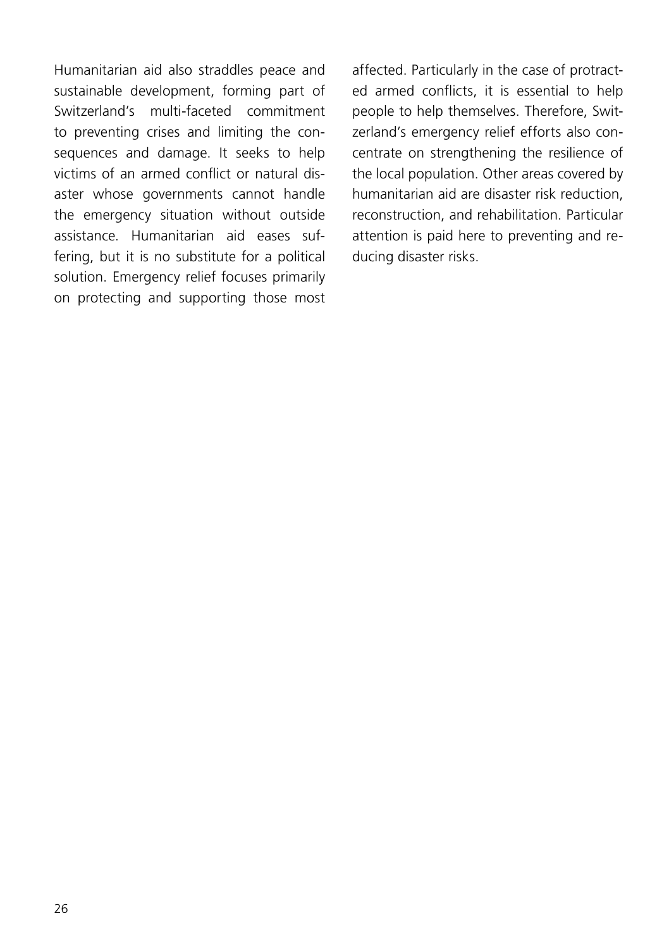Humanitarian aid also straddles peace and sustainable development, forming part of Switzerland's multi-faceted commitment to preventing crises and limiting the consequences and damage. It seeks to help victims of an armed conflict or natural disaster whose governments cannot handle the emergency situation without outside assistance. Humanitarian aid eases suffering, but it is no substitute for a political solution. Emergency relief focuses primarily on protecting and supporting those most

affected. Particularly in the case of protracted armed conflicts, it is essential to help people to help themselves. Therefore, Switzerland's emergency relief efforts also concentrate on strengthening the resilience of the local population. Other areas covered by humanitarian aid are disaster risk reduction, reconstruction, and rehabilitation. Particular attention is paid here to preventing and reducing disaster risks.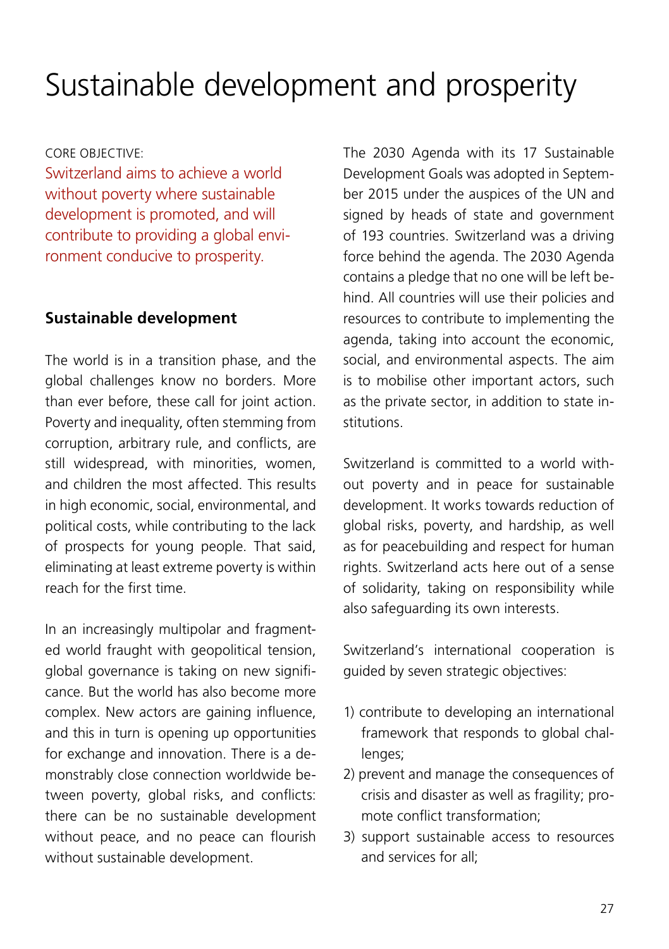## <span id="page-26-0"></span>Sustainable development and prosperity

#### CORE OBJECTIVE:

Switzerland aims to achieve a world without poverty where sustainable development is promoted, and will contribute to providing a global environment conducive to prosperity.

### **Sustainable development**

The world is in a transition phase, and the global challenges know no borders. More than ever before, these call for joint action. Poverty and inequality, often stemming from corruption, arbitrary rule, and conflicts, are still widespread, with minorities, women, and children the most affected. This results in high economic, social, environmental, and political costs, while contributing to the lack of prospects for young people. That said, eliminating at least extreme poverty is within reach for the first time.

In an increasingly multipolar and fragmented world fraught with geopolitical tension, global governance is taking on new significance. But the world has also become more complex. New actors are gaining influence, and this in turn is opening up opportunities for exchange and innovation. There is a demonstrably close connection worldwide between poverty, global risks, and conflicts: there can be no sustainable development without peace, and no peace can flourish without sustainable development.

The 2030 Agenda with its 17 Sustainable Development Goals was adopted in September 2015 under the auspices of the UN and signed by heads of state and government of 193 countries. Switzerland was a driving force behind the agenda. The 2030 Agenda contains a pledge that no one will be left behind. All countries will use their policies and resources to contribute to implementing the agenda, taking into account the economic, social, and environmental aspects. The aim is to mobilise other important actors, such as the private sector, in addition to state institutions.

Switzerland is committed to a world without poverty and in peace for sustainable development. It works towards reduction of global risks, poverty, and hardship, as well as for peacebuilding and respect for human rights. Switzerland acts here out of a sense of solidarity, taking on responsibility while also safeguarding its own interests.

Switzerland's international cooperation is guided by seven strategic objectives:

- 1) contribute to developing an international framework that responds to global challenges;
- 2) prevent and manage the consequences of crisis and disaster as well as fragility; promote conflict transformation;
- 3) support sustainable access to resources and services for all;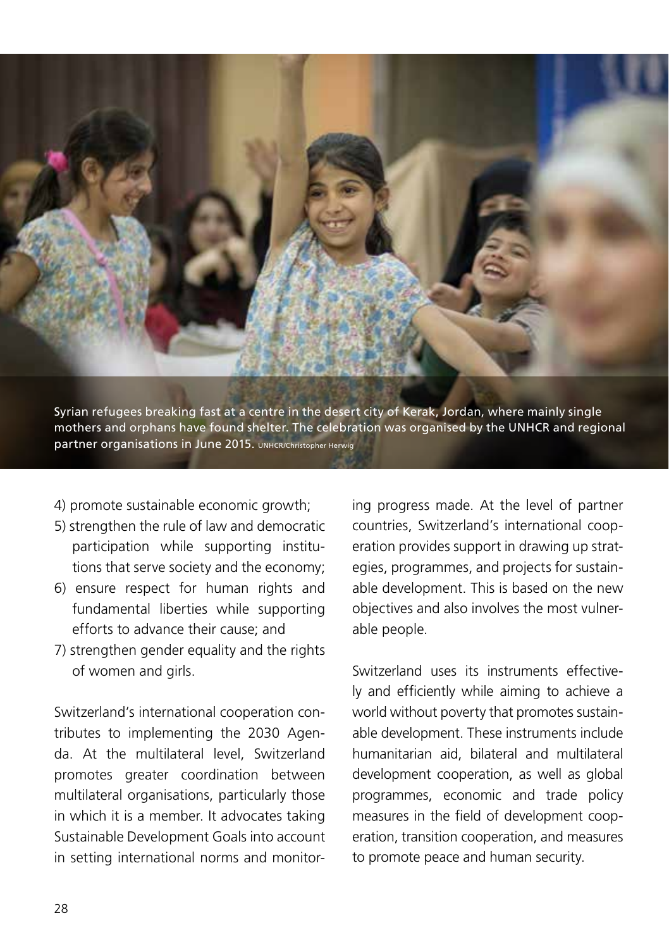

Syrian refugees breaking fast at a centre in the desert city of Kerak, Jordan, where mainly single mothers and orphans have found shelter. The celebration was organised by the UNHCR and regional partner organisations in June 2015. UNHCR/Christopher Herwig

- 4) promote sustainable economic growth;
- 5) strengthen the rule of law and democratic participation while supporting institutions that serve society and the economy;
- 6) ensure respect for human rights and fundamental liberties while supporting efforts to advance their cause; and
- 7) strengthen gender equality and the rights of women and girls.

Switzerland's international cooperation contributes to implementing the 2030 Agenda. At the multilateral level, Switzerland promotes greater coordination between multilateral organisations, particularly those in which it is a member. It advocates taking Sustainable Development Goals into account in setting international norms and monitoring progress made. At the level of partner countries, Switzerland's international cooperation provides support in drawing up strategies, programmes, and projects for sustainable development. This is based on the new objectives and also involves the most vulnerable people.

Switzerland uses its instruments effectively and efficiently while aiming to achieve a world without poverty that promotes sustainable development. These instruments include humanitarian aid, bilateral and multilateral development cooperation, as well as global programmes, economic and trade policy measures in the field of development cooperation, transition cooperation, and measures to promote peace and human security.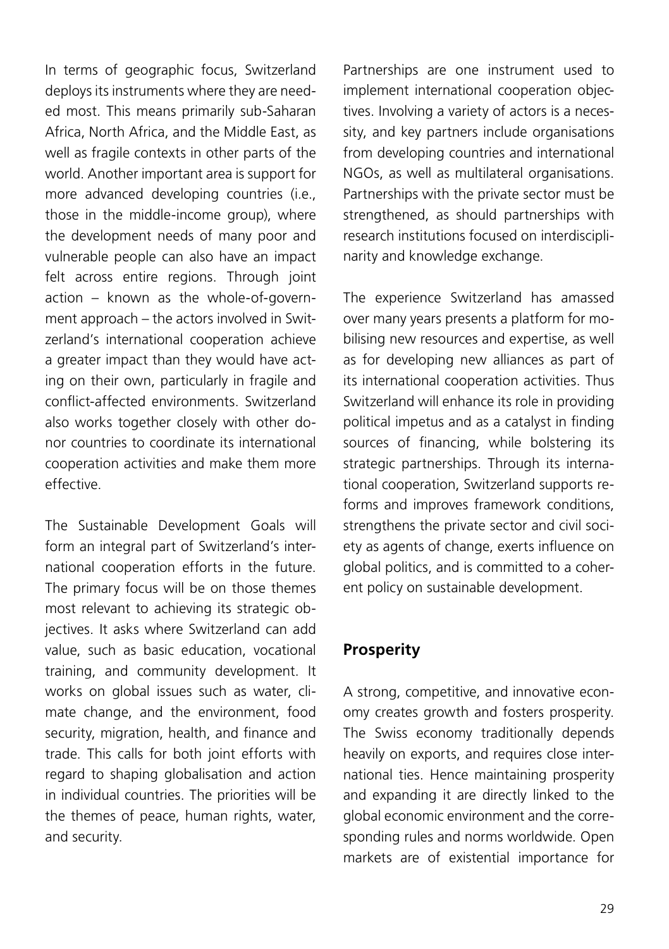In terms of geographic focus, Switzerland deploys its instruments where they are needed most. This means primarily sub-Saharan Africa, North Africa, and the Middle East, as well as fragile contexts in other parts of the world. Another important area is support for more advanced developing countries (i.e., those in the middle-income group), where the development needs of many poor and vulnerable people can also have an impact felt across entire regions. Through joint action – known as the whole-of-government approach – the actors involved in Switzerland's international cooperation achieve a greater impact than they would have acting on their own, particularly in fragile and conflict-affected environments. Switzerland also works together closely with other donor countries to coordinate its international cooperation activities and make them more effective.

The Sustainable Development Goals will form an integral part of Switzerland's international cooperation efforts in the future. The primary focus will be on those themes most relevant to achieving its strategic objectives. It asks where Switzerland can add value, such as basic education, vocational training, and community development. It works on global issues such as water, climate change, and the environment, food security, migration, health, and finance and trade. This calls for both joint efforts with regard to shaping globalisation and action in individual countries. The priorities will be the themes of peace, human rights, water, and security.

Partnerships are one instrument used to implement international cooperation objectives. Involving a variety of actors is a necessity, and key partners include organisations from developing countries and international NGOs, as well as multilateral organisations. Partnerships with the private sector must be strengthened, as should partnerships with research institutions focused on interdisciplinarity and knowledge exchange.

The experience Switzerland has amassed over many years presents a platform for mobilising new resources and expertise, as well as for developing new alliances as part of its international cooperation activities. Thus Switzerland will enhance its role in providing political impetus and as a catalyst in finding sources of financing, while bolstering its strategic partnerships. Through its international cooperation, Switzerland supports reforms and improves framework conditions, strengthens the private sector and civil society as agents of change, exerts influence on global politics, and is committed to a coherent policy on sustainable development.

### **Prosperity**

A strong, competitive, and innovative economy creates growth and fosters prosperity. The Swiss economy traditionally depends heavily on exports, and requires close international ties. Hence maintaining prosperity and expanding it are directly linked to the global economic environment and the corresponding rules and norms worldwide. Open markets are of existential importance for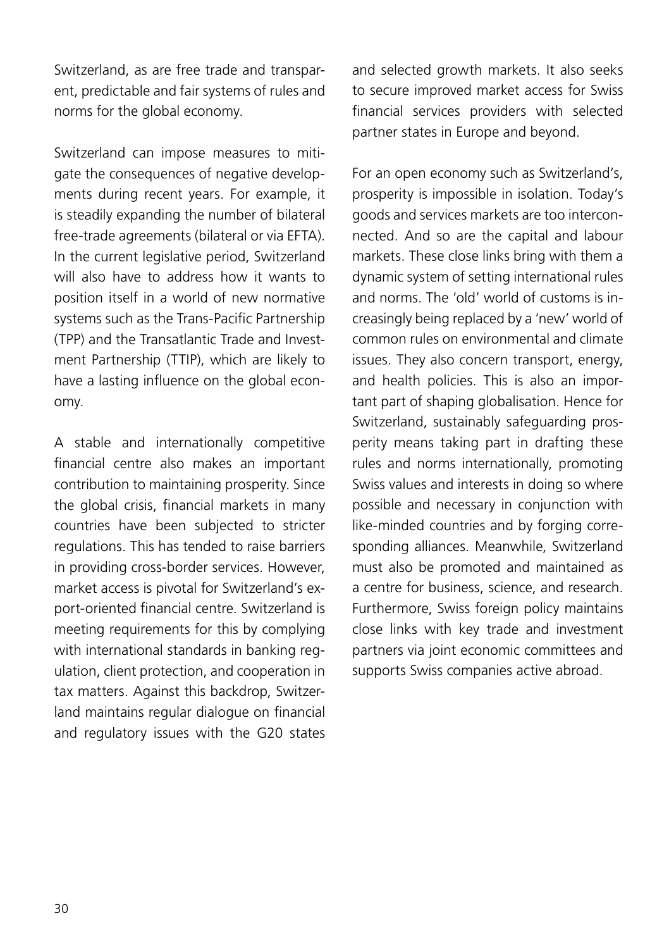Switzerland, as are free trade and transparent, predictable and fair systems of rules and norms for the global economy.

Switzerland can impose measures to mitigate the consequences of negative developments during recent years. For example, it is steadily expanding the number of bilateral free-trade agreements (bilateral or via EFTA). In the current legislative period, Switzerland will also have to address how it wants to position itself in a world of new normative systems such as the Trans-Pacific Partnership (TPP) and the Transatlantic Trade and Investment Partnership (TTIP), which are likely to have a lasting influence on the global economy.

A stable and internationally competitive financial centre also makes an important contribution to maintaining prosperity. Since the global crisis, financial markets in many countries have been subjected to stricter regulations. This has tended to raise barriers in providing cross-border services. However, market access is pivotal for Switzerland's export-oriented financial centre. Switzerland is meeting requirements for this by complying with international standards in banking regulation, client protection, and cooperation in tax matters. Against this backdrop, Switzerland maintains regular dialogue on financial and regulatory issues with the G20 states

and selected growth markets. It also seeks to secure improved market access for Swiss financial services providers with selected partner states in Europe and beyond.

For an open economy such as Switzerland's, prosperity is impossible in isolation. Today's goods and services markets are too interconnected. And so are the capital and labour markets. These close links bring with them a dynamic system of setting international rules and norms. The 'old' world of customs is increasingly being replaced by a 'new' world of common rules on environmental and climate issues. They also concern transport, energy, and health policies. This is also an important part of shaping globalisation. Hence for Switzerland, sustainably safeguarding prosperity means taking part in drafting these rules and norms internationally, promoting Swiss values and interests in doing so where possible and necessary in conjunction with like-minded countries and by forging corresponding alliances. Meanwhile, Switzerland must also be promoted and maintained as a centre for business, science, and research. Furthermore, Swiss foreign policy maintains close links with key trade and investment partners via joint economic committees and supports Swiss companies active abroad.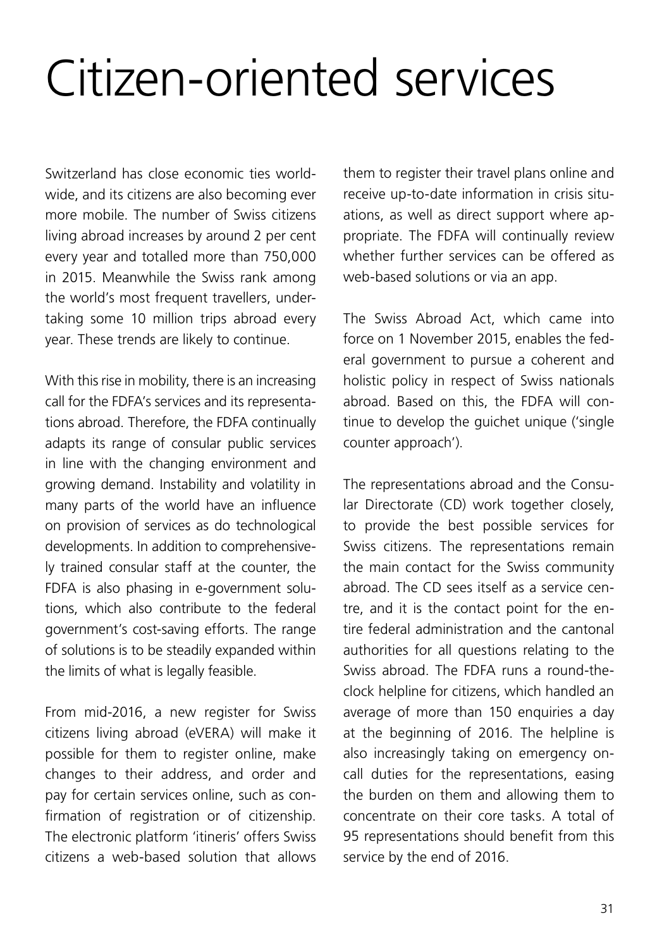# <span id="page-30-0"></span>Citizen-oriented services

Switzerland has close economic ties worldwide, and its citizens are also becoming ever more mobile. The number of Swiss citizens living abroad increases by around 2 per cent every year and totalled more than 750,000 in 2015. Meanwhile the Swiss rank among the world's most frequent travellers, undertaking some 10 million trips abroad every year. These trends are likely to continue.

With this rise in mobility, there is an increasing call for the FDFA's services and its representations abroad. Therefore, the FDFA continually adapts its range of consular public services in line with the changing environment and growing demand. Instability and volatility in many parts of the world have an influence on provision of services as do technological developments. In addition to comprehensively trained consular staff at the counter, the FDFA is also phasing in e-government solutions, which also contribute to the federal government's cost-saving efforts. The range of solutions is to be steadily expanded within the limits of what is legally feasible.

From mid-2016, a new register for Swiss citizens living abroad (eVERA) will make it possible for them to register online, make changes to their address, and order and pay for certain services online, such as confirmation of registration or of citizenship. The electronic platform 'itineris' offers Swiss citizens a web-based solution that allows

them to register their travel plans online and receive up-to-date information in crisis situations, as well as direct support where appropriate. The FDFA will continually review whether further services can be offered as web-based solutions or via an app.

The Swiss Abroad Act, which came into force on 1 November 2015, enables the federal government to pursue a coherent and holistic policy in respect of Swiss nationals abroad. Based on this, the FDFA will continue to develop the guichet unique ('single counter approach').

The representations abroad and the Consular Directorate (CD) work together closely, to provide the best possible services for Swiss citizens. The representations remain the main contact for the Swiss community abroad. The CD sees itself as a service centre, and it is the contact point for the entire federal administration and the cantonal authorities for all questions relating to the Swiss abroad. The FDFA runs a round-theclock helpline for citizens, which handled an average of more than 150 enquiries a day at the beginning of 2016. The helpline is also increasingly taking on emergency oncall duties for the representations, easing the burden on them and allowing them to concentrate on their core tasks. A total of 95 representations should benefit from this service by the end of 2016.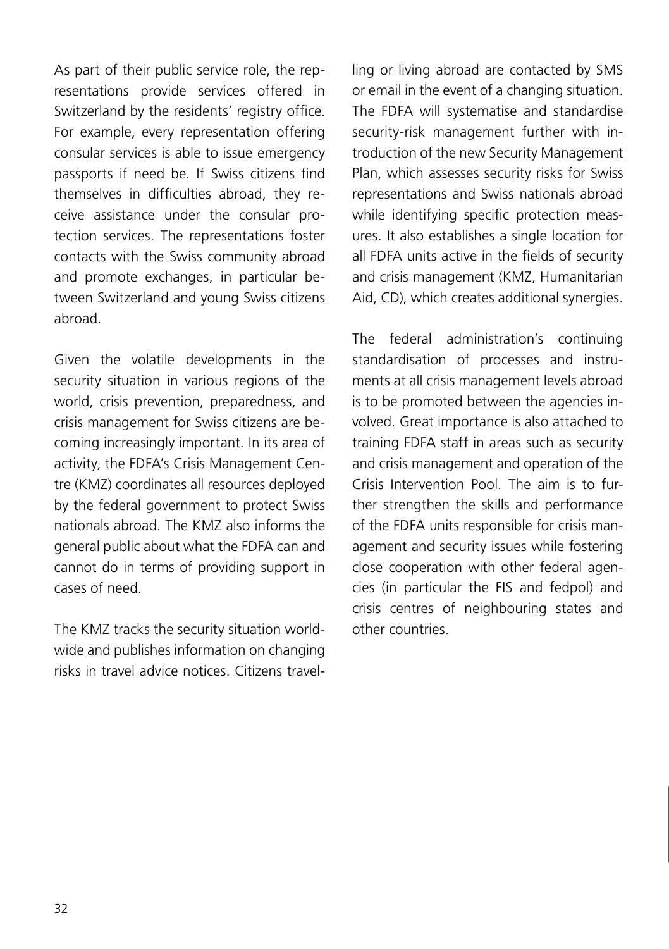As part of their public service role, the representations provide services offered in Switzerland by the residents' registry office. For example, every representation offering consular services is able to issue emergency passports if need be. If Swiss citizens find themselves in difficulties abroad, they receive assistance under the consular protection services. The representations foster contacts with the Swiss community abroad and promote exchanges, in particular between Switzerland and young Swiss citizens abroad.

Given the volatile developments in the security situation in various regions of the world, crisis prevention, preparedness, and crisis management for Swiss citizens are becoming increasingly important. In its area of activity, the FDFA's Crisis Management Centre (KMZ) coordinates all resources deployed by the federal government to protect Swiss nationals abroad. The KMZ also informs the general public about what the FDFA can and cannot do in terms of providing support in cases of need.

The KMZ tracks the security situation worldwide and publishes information on changing risks in travel advice notices. Citizens travelling or living abroad are contacted by SMS or email in the event of a changing situation. The FDFA will systematise and standardise security-risk management further with introduction of the new Security Management Plan, which assesses security risks for Swiss representations and Swiss nationals abroad while identifying specific protection measures. It also establishes a single location for all FDFA units active in the fields of security and crisis management (KMZ, Humanitarian Aid, CD), which creates additional synergies.

The federal administration's continuing standardisation of processes and instruments at all crisis management levels abroad is to be promoted between the agencies involved. Great importance is also attached to training FDFA staff in areas such as security and crisis management and operation of the Crisis Intervention Pool. The aim is to further strengthen the skills and performance of the FDFA units responsible for crisis management and security issues while fostering close cooperation with other federal agencies (in particular the FIS and fedpol) and crisis centres of neighbouring states and other countries.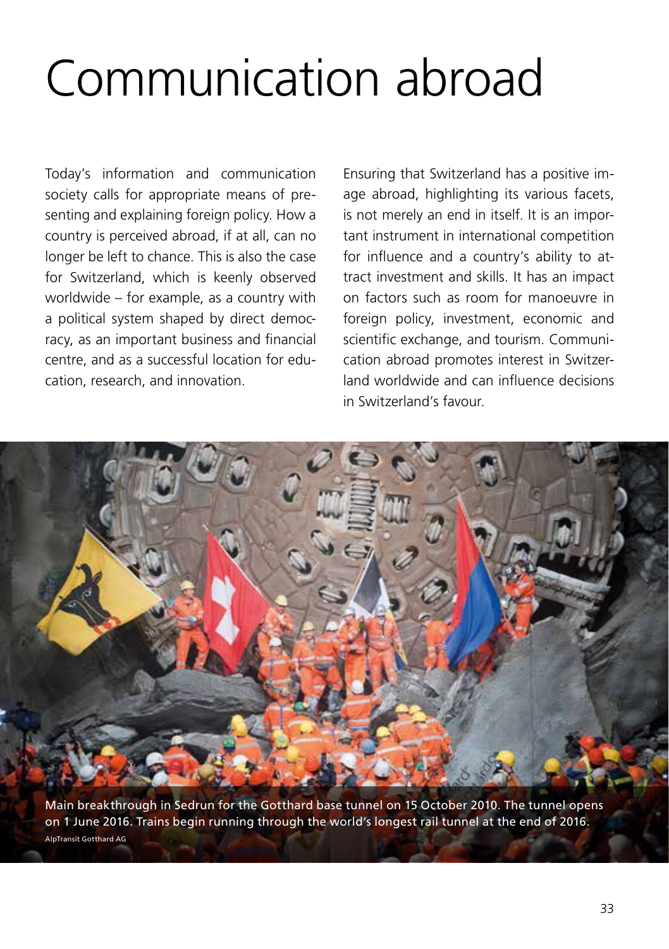# <span id="page-32-0"></span>Communication abroad

Today's information and communication society calls for appropriate means of presenting and explaining foreign policy. How a country is perceived abroad, if at all, can no longer be left to chance. This is also the case for Switzerland, which is keenly observed worldwide – for example, as a country with a political system shaped by direct democracy, as an important business and financial centre, and as a successful location for education, research, and innovation.

Ensuring that Switzerland has a positive image abroad, highlighting its various facets, is not merely an end in itself. It is an important instrument in international competition for influence and a country's ability to attract investment and skills. It has an impact on factors such as room for manoeuvre in foreign policy, investment, economic and scientific exchange, and tourism. Communication abroad promotes interest in Switzerland worldwide and can influence decisions in Switzerland's favour.



Main breakthrough in Sedrun for the Gotthard base tunnel on 15 October 2010. The tunnel opens on 1 June 2016. Trains begin running through the world's longest rail tunnel at the end of 2016. AlpTransit Gotthard AG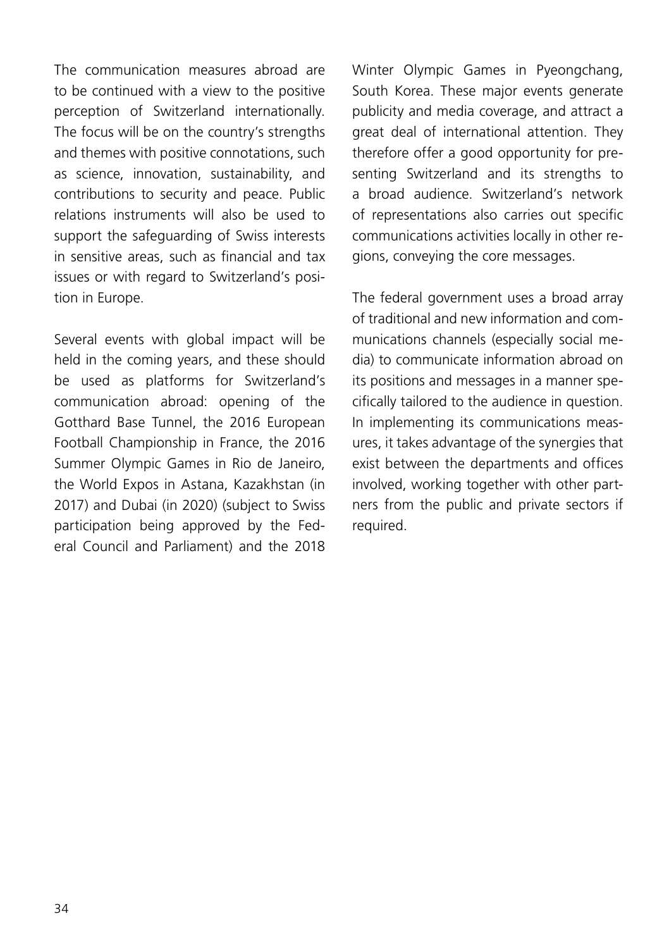The communication measures abroad are to be continued with a view to the positive perception of Switzerland internationally. The focus will be on the country's strengths and themes with positive connotations, such as science, innovation, sustainability, and contributions to security and peace. Public relations instruments will also be used to support the safeguarding of Swiss interests in sensitive areas, such as financial and tax issues or with regard to Switzerland's position in Europe.

Several events with global impact will be held in the coming years, and these should be used as platforms for Switzerland's communication abroad: opening of the Gotthard Base Tunnel, the 2016 European Football Championship in France, the 2016 Summer Olympic Games in Rio de Janeiro, the World Expos in Astana, Kazakhstan (in 2017) and Dubai (in 2020) (subject to Swiss participation being approved by the Federal Council and Parliament) and the 2018 Winter Olympic Games in Pyeongchang, South Korea. These major events generate publicity and media coverage, and attract a great deal of international attention. They therefore offer a good opportunity for presenting Switzerland and its strengths to a broad audience. Switzerland's network of representations also carries out specific communications activities locally in other regions, conveying the core messages.

The federal government uses a broad array of traditional and new information and communications channels (especially social media) to communicate information abroad on its positions and messages in a manner specifically tailored to the audience in question. In implementing its communications measures, it takes advantage of the synergies that exist between the departments and offices involved, working together with other partners from the public and private sectors if required.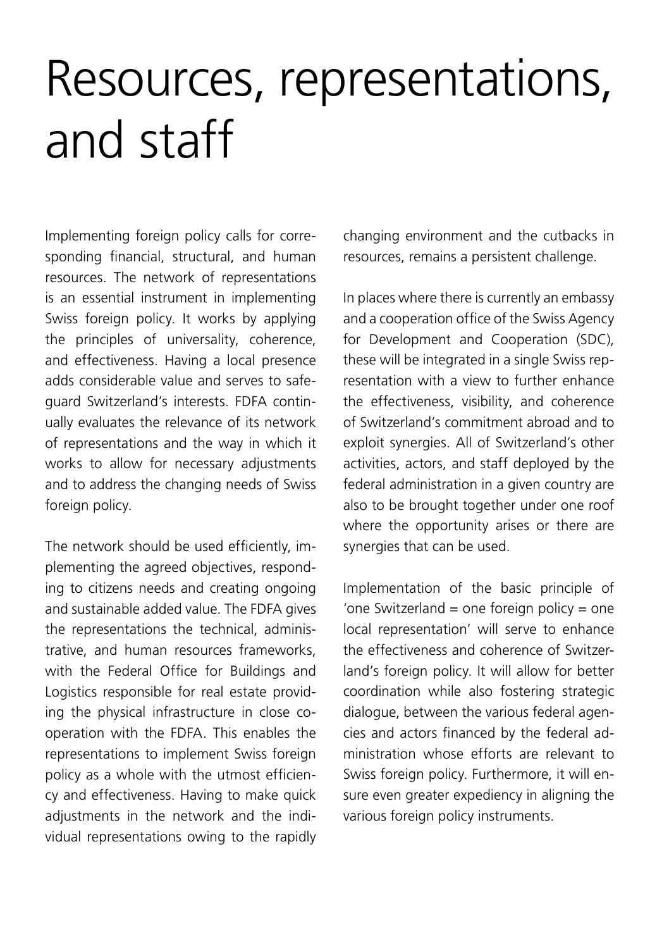# <span id="page-34-0"></span>Resources, representations, and staff

Implementing foreign policy calls for corresponding financial, structural, and human resources. The network of representations is an essential instrument in implementing Swiss foreign policy. It works by applying the principles of universality, coherence, and effectiveness. Having a local presence adds considerable value and serves to safeguard Switzerland's interests. FDFA continually evaluates the relevance of its network of representations and the way in which it works to allow for necessary adjustments and to address the changing needs of Swiss foreign policy.

The network should be used efficiently, implementing the agreed objectives, responding to citizens needs and creating ongoing and sustainable added value. The FDFA gives the representations the technical, administrative, and human resources frameworks, with the Federal Office for Buildings and Logistics responsible for real estate providing the physical infrastructure in close cooperation with the FDFA. This enables the representations to implement Swiss foreign policy as a whole with the utmost efficiency and effectiveness. Having to make quick adjustments in the network and the individual representations owing to the rapidly

changing environment and the cutbacks in resources, remains a persistent challenge.

In places where there is currently an embassy and a cooperation office of the Swiss Agency for Development and Cooperation (SDC), these will be integrated in a single Swiss representation with a view to further enhance the effectiveness, visibility, and coherence of Switzerland's commitment abroad and to exploit synergies. All of Switzerland's other activities, actors, and staff deployed by the federal administration in a given country are also to be brought together under one roof where the opportunity arises or there are synergies that can be used.

Implementation of the basic principle of 'one Switzerland = one foreign policy = one local representation' will serve to enhance the effectiveness and coherence of Switzerland's foreign policy. It will allow for better coordination while also fostering strategic dialogue, between the various federal agencies and actors financed by the federal administration whose efforts are relevant to Swiss foreign policy. Furthermore, it will ensure even greater expediency in aligning the various foreign policy instruments.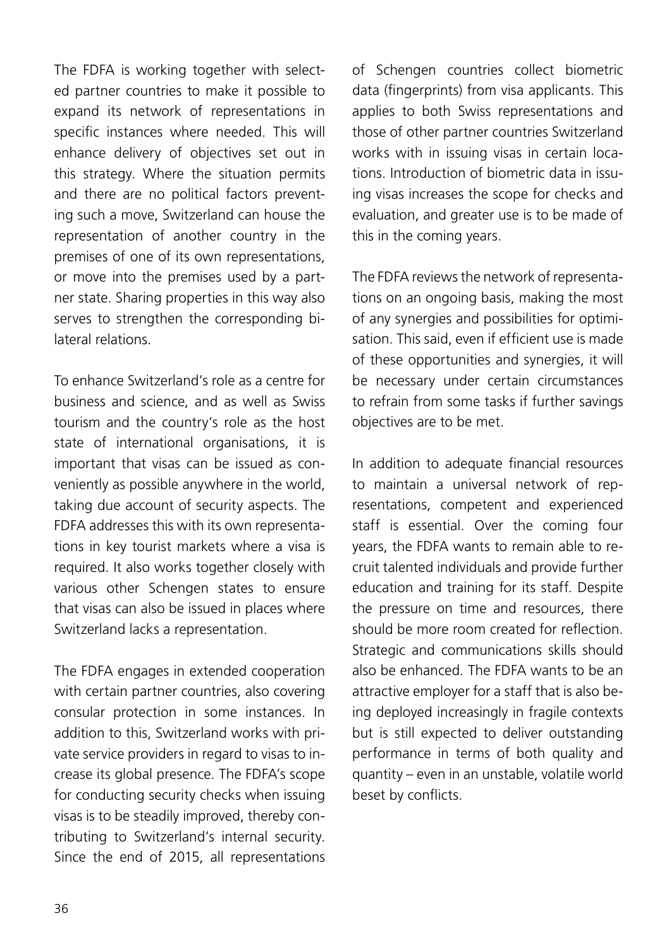The FDFA is working together with selected partner countries to make it possible to expand its network of representations in specific instances where needed. This will enhance delivery of objectives set out in this strategy. Where the situation permits and there are no political factors preventing such a move, Switzerland can house the representation of another country in the premises of one of its own representations, or move into the premises used by a partner state. Sharing properties in this way also serves to strengthen the corresponding bilateral relations.

To enhance Switzerland's role as a centre for business and science, and as well as Swiss tourism and the country's role as the host state of international organisations, it is important that visas can be issued as conveniently as possible anywhere in the world, taking due account of security aspects. The FDFA addresses this with its own representations in key tourist markets where a visa is required. It also works together closely with various other Schengen states to ensure that visas can also be issued in places where Switzerland lacks a representation.

The FDFA engages in extended cooperation with certain partner countries, also covering consular protection in some instances. In addition to this, Switzerland works with private service providers in regard to visas to increase its global presence. The FDFA's scope for conducting security checks when issuing visas is to be steadily improved, thereby contributing to Switzerland's internal security. Since the end of 2015, all representations

of Schengen countries collect biometric data (fingerprints) from visa applicants. This applies to both Swiss representations and those of other partner countries Switzerland works with in issuing visas in certain locations. Introduction of biometric data in issuing visas increases the scope for checks and evaluation, and greater use is to be made of this in the coming years.

The FDFA reviews the network of representations on an ongoing basis, making the most of any synergies and possibilities for optimisation. This said, even if efficient use is made of these opportunities and synergies, it will be necessary under certain circumstances to refrain from some tasks if further savings objectives are to be met.

In addition to adequate financial resources to maintain a universal network of representations, competent and experienced staff is essential. Over the coming four years, the FDFA wants to remain able to recruit talented individuals and provide further education and training for its staff. Despite the pressure on time and resources, there should be more room created for reflection. Strategic and communications skills should also be enhanced. The FDFA wants to be an attractive employer for a staff that is also being deployed increasingly in fragile contexts but is still expected to deliver outstanding performance in terms of both quality and quantity – even in an unstable, volatile world beset by conflicts.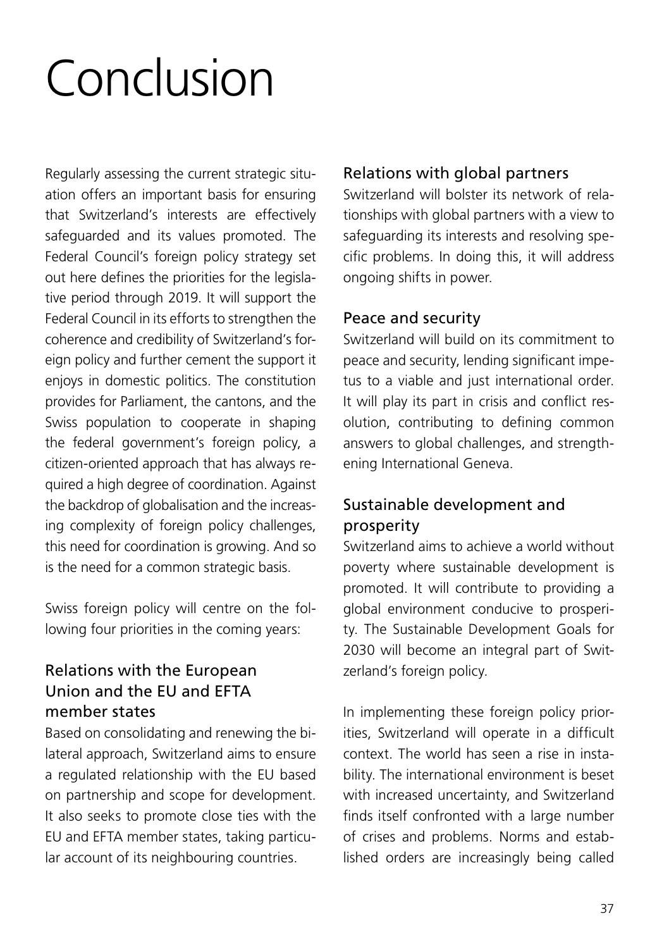# <span id="page-36-0"></span>Conclusion

Regularly assessing the current strategic situation offers an important basis for ensuring that Switzerland's interests are effectively safeguarded and its values promoted. The Federal Council's foreign policy strategy set out here defines the priorities for the legislative period through 2019. It will support the Federal Council in its efforts to strengthen the coherence and credibility of Switzerland's foreign policy and further cement the support it enjoys in domestic politics. The constitution provides for Parliament, the cantons, and the Swiss population to cooperate in shaping the federal government's foreign policy, a citizen-oriented approach that has always required a high degree of coordination. Against the backdrop of globalisation and the increasing complexity of foreign policy challenges, this need for coordination is growing. And so is the need for a common strategic basis.

Swiss foreign policy will centre on the following four priorities in the coming years:

### Relations with the European Union and the EU and EFTA member states

Based on consolidating and renewing the bilateral approach, Switzerland aims to ensure a regulated relationship with the EU based on partnership and scope for development. It also seeks to promote close ties with the EU and EFTA member states, taking particular account of its neighbouring countries.

#### Relations with global partners

Switzerland will bolster its network of relationships with global partners with a view to safeguarding its interests and resolving specific problems. In doing this, it will address ongoing shifts in power.

#### Peace and security

Switzerland will build on its commitment to peace and security, lending significant impetus to a viable and just international order. It will play its part in crisis and conflict resolution, contributing to defining common answers to global challenges, and strengthening International Geneva.

### Sustainable development and prosperity

Switzerland aims to achieve a world without poverty where sustainable development is promoted. It will contribute to providing a global environment conducive to prosperity. The Sustainable Development Goals for 2030 will become an integral part of Switzerland's foreign policy.

In implementing these foreign policy priorities, Switzerland will operate in a difficult context. The world has seen a rise in instability. The international environment is beset with increased uncertainty, and Switzerland finds itself confronted with a large number of crises and problems. Norms and established orders are increasingly being called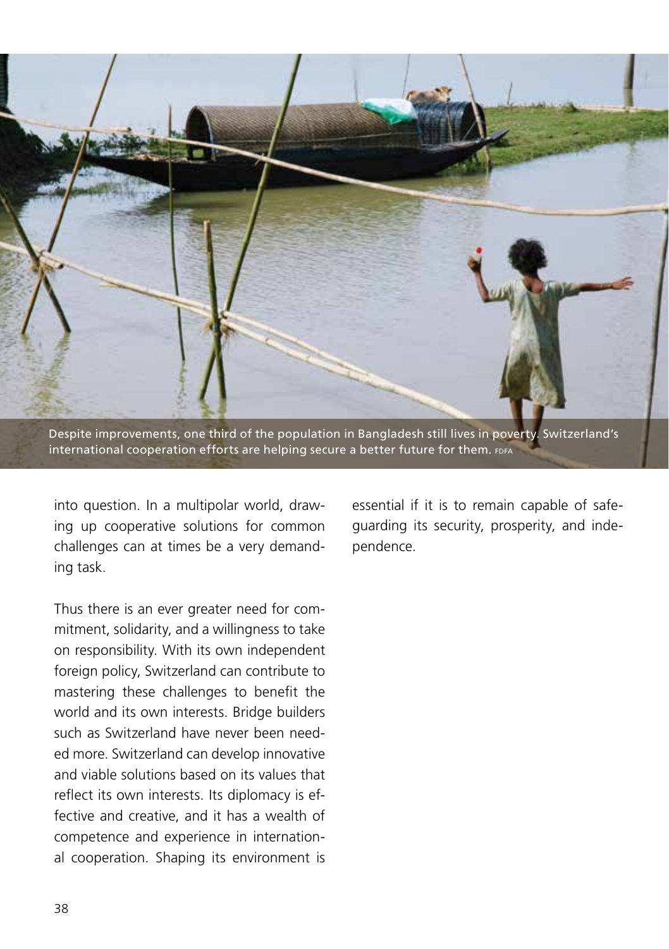

Despite improvements, one third of the population in Bangladesh still lives in poverty. Switzerland's international cooperation efforts are helping secure a better future for them. FDFA

into question. In a multipolar world, drawing up cooperative solutions for common challenges can at times be a very demanding task.

Thus there is an ever greater need for commitment, solidarity, and a willingness to take on responsibility. With its own independent foreign policy, Switzerland can contribute to mastering these challenges to benefit the world and its own interests. Bridge builders such as Switzerland have never been needed more. Switzerland can develop innovative and viable solutions based on its values that reflect its own interests. Its diplomacy is effective and creative, and it has a wealth of competence and experience in international cooperation. Shaping its environment is

essential if it is to remain capable of safeguarding its security, prosperity, and independence.